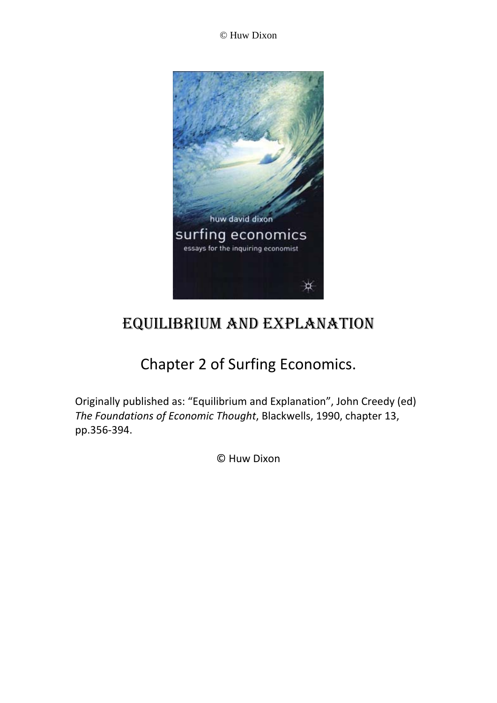

# EQUILIBRIUM AND EXPLANATION

# Chapter 2 of Surfing Economics.

Originally published as: "Equilibrium and Explanation", John Creedy (ed) *The Foundations of Economic Thought*, Blackwells, 1990, chapter 13, pp.356‐394.

© Huw Dixon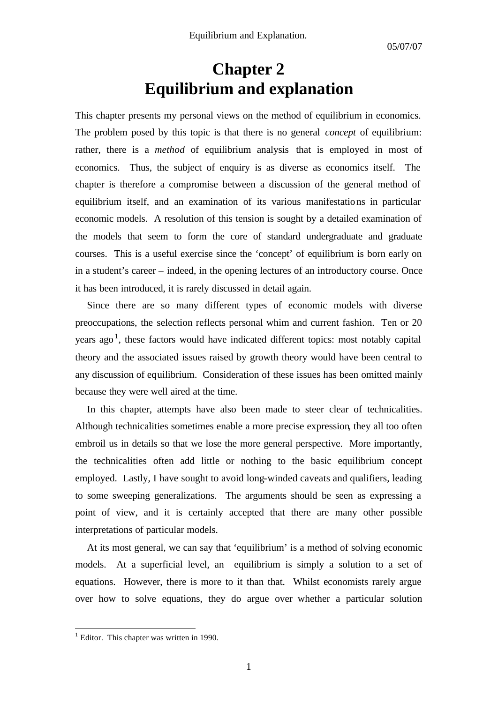# **Chapter 2 Equilibrium and explanation**

This chapter presents my personal views on the method of equilibrium in economics. The problem posed by this topic is that there is no general *concept* of equilibrium: rather, there is a *method* of equilibrium analysis that is employed in most of economics. Thus, the subject of enquiry is as diverse as economics itself. The chapter is therefore a compromise between a discussion of the general method of equilibrium itself, and an examination of its various manifestations in particular economic models. A resolution of this tension is sought by a detailed examination of the models that seem to form the core of standard undergraduate and graduate courses. This is a useful exercise since the 'concept' of equilibrium is born early on in a student's career – indeed, in the opening lectures of an introductory course. Once it has been introduced, it is rarely discussed in detail again.

Since there are so many different types of economic models with diverse preoccupations, the selection reflects personal whim and current fashion. Ten or 20 years ago<sup>1</sup>, these factors would have indicated different topics: most notably capital theory and the associated issues raised by growth theory would have been central to any discussion of equilibrium. Consideration of these issues has been omitted mainly because they were well aired at the time.

In this chapter, attempts have also been made to steer clear of technicalities. Although technicalities sometimes enable a more precise expression, they all too often embroil us in details so that we lose the more general perspective. More importantly, the technicalities often add little or nothing to the basic equilibrium concept employed. Lastly, I have sought to avoid long-winded caveats and qualifiers, leading to some sweeping generalizations. The arguments should be seen as expressing a point of view, and it is certainly accepted that there are many other possible interpretations of particular models.

At its most general, we can say that 'equilibrium' is a method of solving economic models. At a superficial level, an equilibrium is simply a solution to a set of equations. However, there is more to it than that. Whilst economists rarely argue over how to solve equations, they do argue over whether a particular solution

l

<sup>&</sup>lt;sup>1</sup> Editor. This chapter was written in 1990.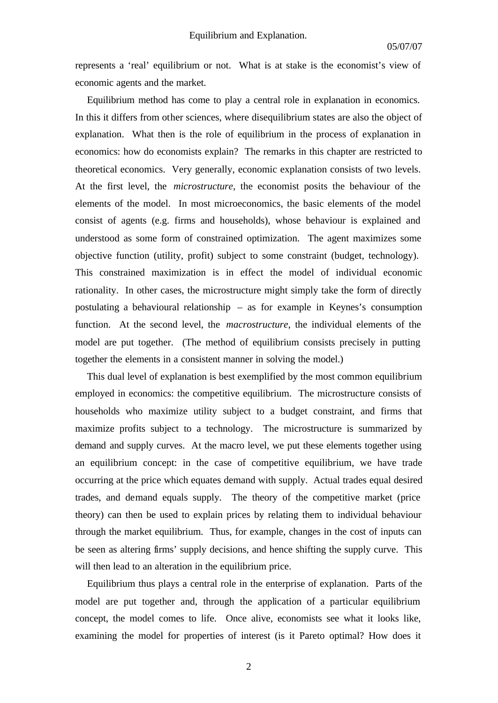represents a 'real' equilibrium or not. What is at stake is the economist's view of economic agents and the market.

Equilibrium method has come to play a central role in explanation in economics. In this it differs from other sciences, where disequilibrium states are also the object of explanation. What then is the role of equilibrium in the process of explanation in economics: how do economists explain? The remarks in this chapter are restricted to theoretical economics. Very generally, economic explanation consists of two levels. At the first level, the *microstructure*, the economist posits the behaviour of the elements of the model. In most microeconomics, the basic elements of the model consist of agents (e.g. firms and households), whose behaviour is explained and understood as some form of constrained optimization. The agent maximizes some objective function (utility, profit) subject to some constraint (budget, technology). This constrained maximization is in effect the model of individual economic rationality. In other cases, the microstructure might simply take the form of directly postulating a behavioural relationship – as for example in Keynes's consumption function. At the second level, the *macrostructure*, the individual elements of the model are put together. (The method of equilibrium consists precisely in putting together the elements in a consistent manner in solving the model.)

This dual level of explanation is best exemplified by the most common equilibrium employed in economics: the competitive equilibrium. The microstructure consists of households who maximize utility subject to a budget constraint, and firms that maximize profits subject to a technology. The microstructure is summarized by demand and supply curves. At the macro level, we put these elements together using an equilibrium concept: in the case of competitive equilibrium, we have trade occurring at the price which equates demand with supply. Actual trades equal desired trades, and demand equals supply. The theory of the competitive market (price theory) can then be used to explain prices by relating them to individual behaviour through the market equilibrium. Thus, for example, changes in the cost of inputs can be seen as altering firms' supply decisions, and hence shifting the supply curve. This will then lead to an alteration in the equilibrium price.

Equilibrium thus plays a central role in the enterprise of explanation. Parts of the model are put together and, through the application of a particular equilibrium concept, the model comes to life. Once alive, economists see what it looks like, examining the model for properties of interest (is it Pareto optimal? How does it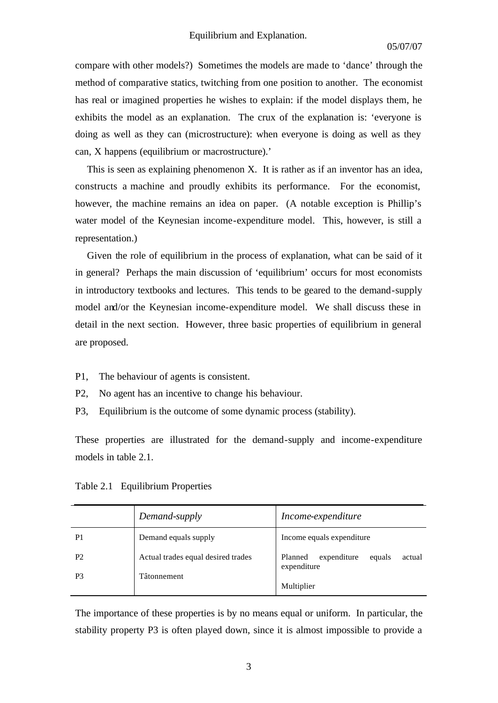compare with other models?) Sometimes the models are made to 'dance' through the method of comparative statics, twitching from one position to another. The economist has real or imagined properties he wishes to explain: if the model displays them, he exhibits the model as an explanation. The crux of the explanation is: 'everyone is doing as well as they can (microstructure): when everyone is doing as well as they can, X happens (equilibrium or macrostructure).'

This is seen as explaining phenomenon X. It is rather as if an inventor has an idea, constructs a machine and proudly exhibits its performance. For the economist, however, the machine remains an idea on paper. (A notable exception is Phillip's water model of the Keynesian income-expenditure model. This, however, is still a representation.)

Given the role of equilibrium in the process of explanation, what can be said of it in general? Perhaps the main discussion of 'equilibrium' occurs for most economists in introductory textbooks and lectures. This tends to be geared to the demand-supply model and/or the Keynesian income-expenditure model. We shall discuss these in detail in the next section. However, three basic properties of equilibrium in general are proposed.

- P1, The behaviour of agents is consistent.
- P2, No agent has an incentive to change his behaviour.
- P3, Equilibrium is the outcome of some dynamic process (stability).

These properties are illustrated for the demand-supply and income-expenditure models in table 2.1.

|                | Demand-supply                      | Income-expenditure                                        |
|----------------|------------------------------------|-----------------------------------------------------------|
| P1             | Demand equals supply               | Income equals expenditure                                 |
| P <sub>2</sub> | Actual trades equal desired trades | expenditure<br>Planned<br>equals<br>actual<br>expenditure |
| P <sub>3</sub> | Tâtonnement                        | Multiplier                                                |

Table 2.1 Equilibrium Properties

The importance of these properties is by no means equal or uniform. In particular, the stability property P3 is often played down, since it is almost impossible to provide a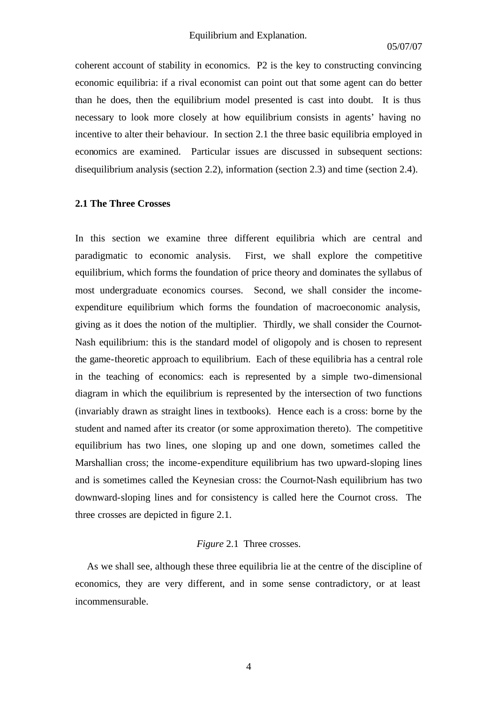coherent account of stability in economics. P2 is the key to constructing convincing economic equilibria: if a rival economist can point out that some agent can do better than he does, then the equilibrium model presented is cast into doubt. It is thus necessary to look more closely at how equilibrium consists in agents' having no incentive to alter their behaviour. In section 2.1 the three basic equilibria employed in economics are examined. Particular issues are discussed in subsequent sections: disequilibrium analysis (section 2.2), information (section 2.3) and time (section 2.4).

#### **2.1 The Three Crosses**

In this section we examine three different equilibria which are central and paradigmatic to economic analysis. First, we shall explore the competitive equilibrium, which forms the foundation of price theory and dominates the syllabus of most undergraduate economics courses. Second, we shall consider the incomeexpenditure equilibrium which forms the foundation of macroeconomic analysis, giving as it does the notion of the multiplier. Thirdly, we shall consider the Cournot-Nash equilibrium: this is the standard model of oligopoly and is chosen to represent the game-theoretic approach to equilibrium. Each of these equilibria has a central role in the teaching of economics: each is represented by a simple two-dimensional diagram in which the equilibrium is represented by the intersection of two functions (invariably drawn as straight lines in textbooks). Hence each is a cross: borne by the student and named after its creator (or some approximation thereto). The competitive equilibrium has two lines, one sloping up and one down, sometimes called the Marshallian cross; the income-expenditure equilibrium has two upward-sloping lines and is sometimes called the Keynesian cross: the Cournot-Nash equilibrium has two downward-sloping lines and for consistency is called here the Cournot cross. The three crosses are depicted in figure 2.1.

### *Figure* 2.1 Three crosses.

As we shall see, although these three equilibria lie at the centre of the discipline of economics, they are very different, and in some sense contradictory, or at least incommensurable.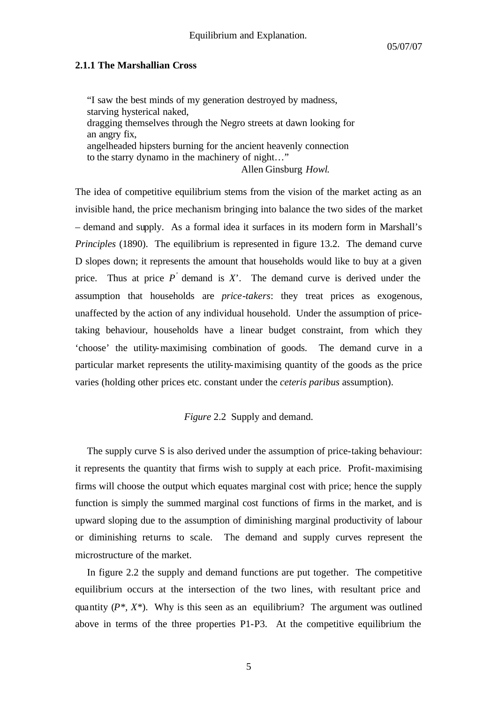### **2.1.1 The Marshallian Cross**

"I saw the best minds of my generation destroyed by madness, starving hysterical naked, dragging themselves through the Negro streets at dawn looking for an angry fix, angelheaded hipsters burning for the ancient heavenly connection to the starry dynamo in the machinery of night…" Allen Ginsburg *Howl*.

The idea of competitive equilibrium stems from the vision of the market acting as an invisible hand, the price mechanism bringing into balance the two sides of the market – demand and supply. As a formal idea it surfaces in its modern form in Marshall's *Principles* (1890). The equilibrium is represented in figure 13.2. The demand curve D slopes down; it represents the amount that households would like to buy at a given price. Thus at price *P '* demand is *X*'. The demand curve is derived under the assumption that households are *price-takers*: they treat prices as exogenous, unaffected by the action of any individual household. Under the assumption of pricetaking behaviour, households have a linear budget constraint, from which they 'choose' the utility-maximising combination of goods. The demand curve in a particular market represents the utility-maximising quantity of the goods as the price varies (holding other prices etc. constant under the *ceteris paribus* assumption).

# *Figure* 2.2 Supply and demand.

The supply curve S is also derived under the assumption of price-taking behaviour: it represents the quantity that firms wish to supply at each price. Profit-maximising firms will choose the output which equates marginal cost with price; hence the supply function is simply the summed marginal cost functions of firms in the market, and is upward sloping due to the assumption of diminishing marginal productivity of labour or diminishing returns to scale. The demand and supply curves represent the microstructure of the market.

In figure 2.2 the supply and demand functions are put together. The competitive equilibrium occurs at the intersection of the two lines, with resultant price and quantity  $(P^*, X^*)$ . Why is this seen as an equilibrium? The argument was outlined above in terms of the three properties P1-P3. At the competitive equilibrium the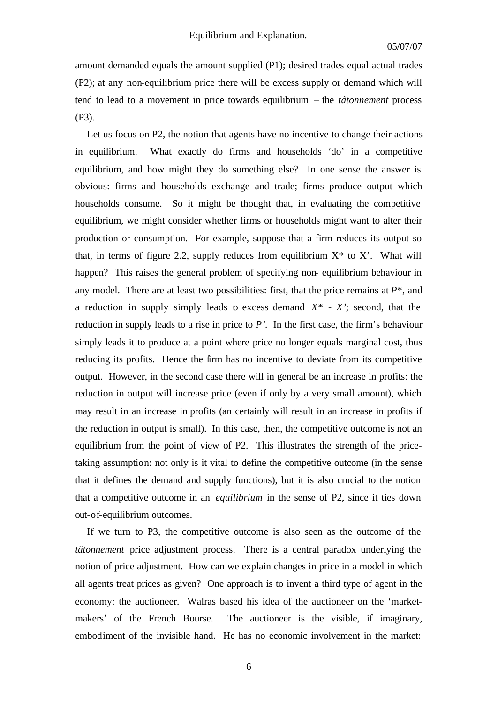amount demanded equals the amount supplied (P1); desired trades equal actual trades (P2); at any non-equilibrium price there will be excess supply or demand which will tend to lead to a movement in price towards equilibrium – the *tâtonnement* process (P3).

Let us focus on P2, the notion that agents have no incentive to change their actions in equilibrium. What exactly do firms and households 'do' in a competitive equilibrium, and how might they do something else? In one sense the answer is obvious: firms and households exchange and trade; firms produce output which households consume. So it might be thought that, in evaluating the competitive equilibrium, we might consider whether firms or households might want to alter their production or consumption. For example, suppose that a firm reduces its output so that, in terms of figure 2.2, supply reduces from equilibrium  $X^*$  to X'. What will happen? This raises the general problem of specifying non- equilibrium behaviour in any model. There are at least two possibilities: first, that the price remains at  $P^*$ , and a reduction in supply simply leads to excess demand *X\* - X'*; second, that the reduction in supply leads to a rise in price to *P'*. In the first case, the firm's behaviour simply leads it to produce at a point where price no longer equals marginal cost, thus reducing its profits. Hence the firm has no incentive to deviate from its competitive output. However, in the second case there will in general be an increase in profits: the reduction in output will increase price (even if only by a very small amount), which may result in an increase in profits (an certainly will result in an increase in profits if the reduction in output is small). In this case, then, the competitive outcome is not an equilibrium from the point of view of P2. This illustrates the strength of the pricetaking assumption: not only is it vital to define the competitive outcome (in the sense that it defines the demand and supply functions), but it is also crucial to the notion that a competitive outcome in an *equilibrium* in the sense of P2, since it ties down out-of-equilibrium outcomes.

If we turn to P3, the competitive outcome is also seen as the outcome of the *tâtonnement* price adjustment process. There is a central paradox underlying the notion of price adjustment. How can we explain changes in price in a model in which all agents treat prices as given? One approach is to invent a third type of agent in the economy: the auctioneer. Walras based his idea of the auctioneer on the 'marketmakers' of the French Bourse. The auctioneer is the visible, if imaginary, embodiment of the invisible hand. He has no economic involvement in the market: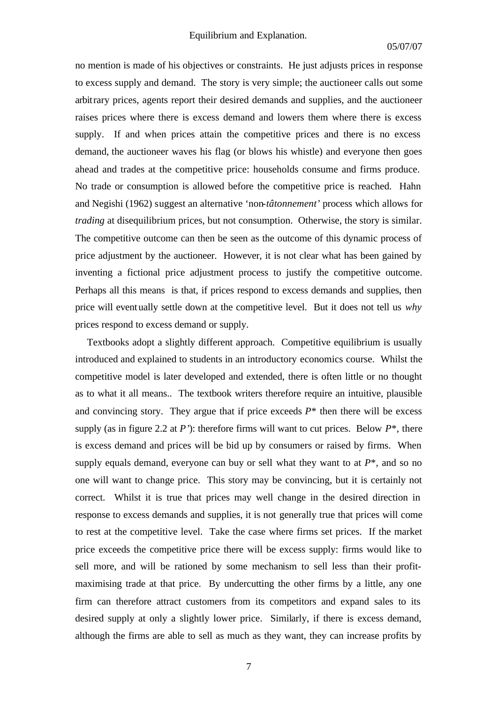no mention is made of his objectives or constraints. He just adjusts prices in response to excess supply and demand. The story is very simple; the auctioneer calls out some arbitrary prices, agents report their desired demands and supplies, and the auctioneer raises prices where there is excess demand and lowers them where there is excess supply. If and when prices attain the competitive prices and there is no excess demand, the auctioneer waves his flag (or blows his whistle) and everyone then goes ahead and trades at the competitive price: households consume and firms produce. No trade or consumption is allowed before the competitive price is reached. Hahn and Negishi (1962) suggest an alternative 'non-*tâtonnement'* process which allows for *trading* at disequilibrium prices, but not consumption. Otherwise, the story is similar. The competitive outcome can then be seen as the outcome of this dynamic process of price adjustment by the auctioneer. However, it is not clear what has been gained by inventing a fictional price adjustment process to justify the competitive outcome. Perhaps all this means is that, if prices respond to excess demands and supplies, then price will eventually settle down at the competitive level. But it does not tell us *why* prices respond to excess demand or supply.

Textbooks adopt a slightly different approach. Competitive equilibrium is usually introduced and explained to students in an introductory economics course. Whilst the competitive model is later developed and extended, there is often little or no thought as to what it all means.. The textbook writers therefore require an intuitive, plausible and convincing story. They argue that if price exceeds  $P^*$  then there will be excess supply (as in figure 2.2 at *P'*): therefore firms will want to cut prices. Below *P*\*, there is excess demand and prices will be bid up by consumers or raised by firms. When supply equals demand, everyone can buy or sell what they want to at  $P^*$ , and so no one will want to change price. This story may be convincing, but it is certainly not correct. Whilst it is true that prices may well change in the desired direction in response to excess demands and supplies, it is not generally true that prices will come to rest at the competitive level. Take the case where firms set prices. If the market price exceeds the competitive price there will be excess supply: firms would like to sell more, and will be rationed by some mechanism to sell less than their profitmaximising trade at that price. By undercutting the other firms by a little, any one firm can therefore attract customers from its competitors and expand sales to its desired supply at only a slightly lower price. Similarly, if there is excess demand, although the firms are able to sell as much as they want, they can increase profits by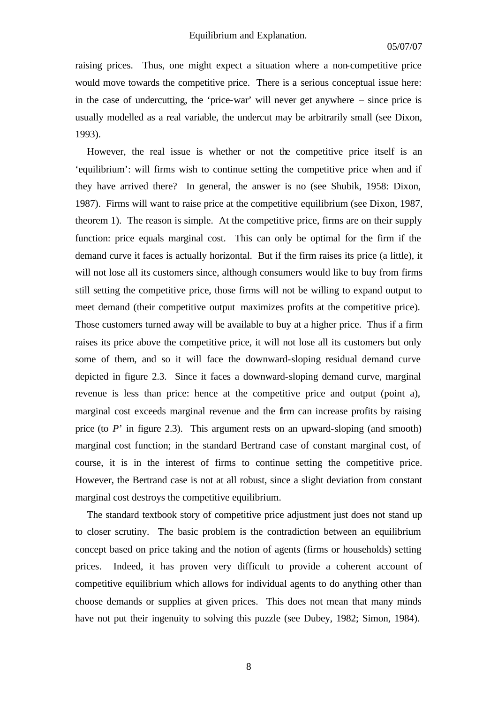raising prices. Thus, one might expect a situation where a non-competitive price would move towards the competitive price. There is a serious conceptual issue here: in the case of undercutting, the 'price-war' will never get anywhere – since price is usually modelled as a real variable, the undercut may be arbitrarily small (see Dixon, 1993).

However, the real issue is whether or not the competitive price itself is an 'equilibrium': will firms wish to continue setting the competitive price when and if they have arrived there? In general, the answer is no (see Shubik, 1958: Dixon, 1987). Firms will want to raise price at the competitive equilibrium (see Dixon, 1987, theorem 1). The reason is simple. At the competitive price, firms are on their supply function: price equals marginal cost. This can only be optimal for the firm if the demand curve it faces is actually horizontal. But if the firm raises its price (a little), it will not lose all its customers since, although consumers would like to buy from firms still setting the competitive price, those firms will not be willing to expand output to meet demand (their competitive output maximizes profits at the competitive price). Those customers turned away will be available to buy at a higher price. Thus if a firm raises its price above the competitive price, it will not lose all its customers but only some of them, and so it will face the downward-sloping residual demand curve depicted in figure 2.3. Since it faces a downward-sloping demand curve, marginal revenue is less than price: hence at the competitive price and output (point a), marginal cost exceeds marginal revenue and the firm can increase profits by raising price (to *P*' in figure 2.3). This argument rests on an upward-sloping (and smooth) marginal cost function; in the standard Bertrand case of constant marginal cost, of course, it is in the interest of firms to continue setting the competitive price. However, the Bertrand case is not at all robust, since a slight deviation from constant marginal cost destroys the competitive equilibrium.

The standard textbook story of competitive price adjustment just does not stand up to closer scrutiny. The basic problem is the contradiction between an equilibrium concept based on price taking and the notion of agents (firms or households) setting prices. Indeed, it has proven very difficult to provide a coherent account of competitive equilibrium which allows for individual agents to do anything other than choose demands or supplies at given prices. This does not mean that many minds have not put their ingenuity to solving this puzzle (see Dubey, 1982; Simon, 1984).

8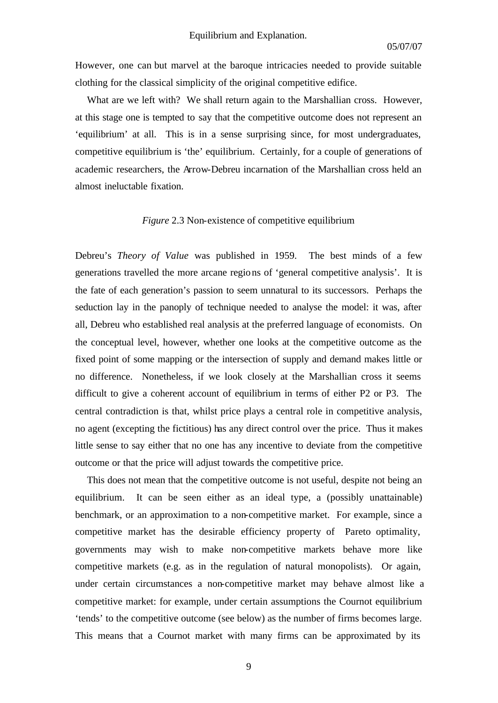However, one can but marvel at the baroque intricacies needed to provide suitable clothing for the classical simplicity of the original competitive edifice.

What are we left with? We shall return again to the Marshallian cross. However, at this stage one is tempted to say that the competitive outcome does not represent an 'equilibrium' at all. This is in a sense surprising since, for most undergraduates, competitive equilibrium is 'the' equilibrium. Certainly, for a couple of generations of academic researchers, the Arrow-Debreu incarnation of the Marshallian cross held an almost ineluctable fixation.

#### *Figure* 2.3 Non-existence of competitive equilibrium

Debreu's *Theory of Value* was published in 1959. The best minds of a few generations travelled the more arcane regions of 'general competitive analysis'. It is the fate of each generation's passion to seem unnatural to its successors. Perhaps the seduction lay in the panoply of technique needed to analyse the model: it was, after all, Debreu who established real analysis at the preferred language of economists. On the conceptual level, however, whether one looks at the competitive outcome as the fixed point of some mapping or the intersection of supply and demand makes little or no difference. Nonetheless, if we look closely at the Marshallian cross it seems difficult to give a coherent account of equilibrium in terms of either P2 or P3. The central contradiction is that, whilst price plays a central role in competitive analysis, no agent (excepting the fictitious) has any direct control over the price. Thus it makes little sense to say either that no one has any incentive to deviate from the competitive outcome or that the price will adjust towards the competitive price.

This does not mean that the competitive outcome is not useful, despite not being an equilibrium. It can be seen either as an ideal type, a (possibly unattainable) benchmark, or an approximation to a non-competitive market. For example, since a competitive market has the desirable efficiency property of Pareto optimality, governments may wish to make non-competitive markets behave more like competitive markets (e.g. as in the regulation of natural monopolists). Or again, under certain circumstances a non-competitive market may behave almost like a competitive market: for example, under certain assumptions the Cournot equilibrium 'tends' to the competitive outcome (see below) as the number of firms becomes large. This means that a Cournot market with many firms can be approximated by its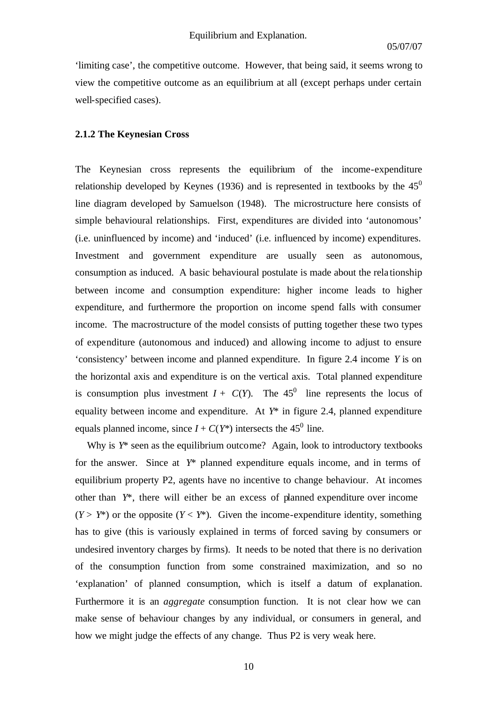'limiting case', the competitive outcome. However, that being said, it seems wrong to view the competitive outcome as an equilibrium at all (except perhaps under certain well-specified cases).

#### **2.1.2 The Keynesian Cross**

The Keynesian cross represents the equilibrium of the income-expenditure relationship developed by Keynes (1936) and is represented in textbooks by the  $45^{\circ}$ line diagram developed by Samuelson (1948). The microstructure here consists of simple behavioural relationships. First, expenditures are divided into 'autonomous' (i.e. uninfluenced by income) and 'induced' (i.e. influenced by income) expenditures. Investment and government expenditure are usually seen as autonomous, consumption as induced. A basic behavioural postulate is made about the rela tionship between income and consumption expenditure: higher income leads to higher expenditure, and furthermore the proportion on income spend falls with consumer income. The macrostructure of the model consists of putting together these two types of expenditure (autonomous and induced) and allowing income to adjust to ensure 'consistency' between income and planned expenditure. In figure 2.4 income *Y* is on the horizontal axis and expenditure is on the vertical axis. Total planned expenditure is consumption plus investment  $I + C(Y)$ . The 45<sup>0</sup> line represents the locus of equality between income and expenditure. At *Y*\* in figure 2.4, planned expenditure equals planned income, since  $I + C(Y^*)$  intersects the 45<sup>0</sup> line.

Why is  $Y^*$  seen as the equilibrium outcome? Again, look to introductory textbooks for the answer. Since at *Y*\* planned expenditure equals income, and in terms of equilibrium property P2, agents have no incentive to change behaviour. At incomes other than *Y*\*, there will either be an excess of planned expenditure over income  $(Y > Y^*)$  or the opposite  $(Y < Y^*)$ . Given the income-expenditure identity, something has to give (this is variously explained in terms of forced saving by consumers or undesired inventory charges by firms). It needs to be noted that there is no derivation of the consumption function from some constrained maximization, and so no 'explanation' of planned consumption, which is itself a datum of explanation. Furthermore it is an *aggregate* consumption function. It is not clear how we can make sense of behaviour changes by any individual, or consumers in general, and how we might judge the effects of any change. Thus P2 is very weak here.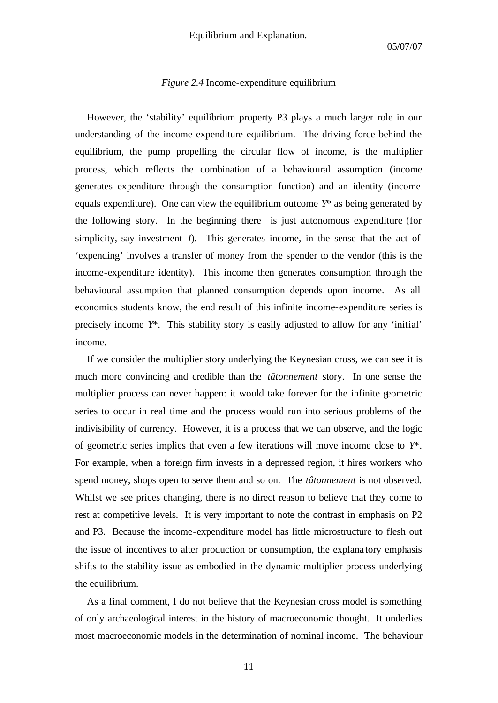#### *Figure 2.4* Income-expenditure equilibrium

However, the 'stability' equilibrium property P3 plays a much larger role in our understanding of the income-expenditure equilibrium. The driving force behind the equilibrium, the pump propelling the circular flow of income, is the multiplier process, which reflects the combination of a behavioural assumption (income generates expenditure through the consumption function) and an identity (income equals expenditure). One can view the equilibrium outcome  $Y^*$  as being generated by the following story. In the beginning there is just autonomous expenditure (for simplicity, say investment *I*). This generates income, in the sense that the act of 'expending' involves a transfer of money from the spender to the vendor (this is the income-expenditure identity). This income then generates consumption through the behavioural assumption that planned consumption depends upon income. As all economics students know, the end result of this infinite income-expenditure series is precisely income *Y*\*. This stability story is easily adjusted to allow for any 'initial' income.

If we consider the multiplier story underlying the Keynesian cross, we can see it is much more convincing and credible than the *tâtonnement* story. In one sense the multiplier process can never happen: it would take forever for the infinite geometric series to occur in real time and the process would run into serious problems of the indivisibility of currency. However, it is a process that we can observe, and the logic of geometric series implies that even a few iterations will move income close to *Y*\*. For example, when a foreign firm invests in a depressed region, it hires workers who spend money, shops open to serve them and so on. The *tâtonnement* is not observed. Whilst we see prices changing, there is no direct reason to believe that they come to rest at competitive levels. It is very important to note the contrast in emphasis on P2 and P3. Because the income-expenditure model has little microstructure to flesh out the issue of incentives to alter production or consumption, the explana tory emphasis shifts to the stability issue as embodied in the dynamic multiplier process underlying the equilibrium.

As a final comment, I do not believe that the Keynesian cross model is something of only archaeological interest in the history of macroeconomic thought. It underlies most macroeconomic models in the determination of nominal income. The behaviour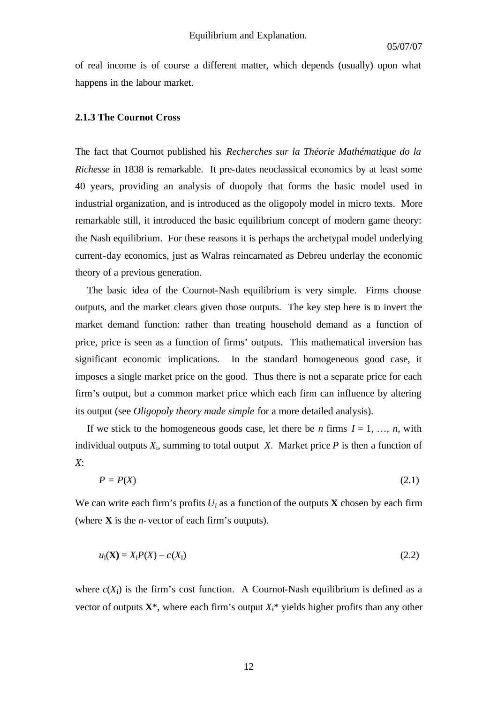of real income is of course a different matter, which depends (usually) upon what happens in the labour market.

### **2.1.3 The Cournot Cross**

The fact that Cournot published his *Recherches sur la Théorie Mathématique do la Richesse* in 1838 is remarkable. It pre-dates neoclassical economics by at least some 40 years, providing an analysis of duopoly that forms the basic model used in industrial organization, and is introduced as the oligopoly model in micro texts. More remarkable still, it introduced the basic equilibrium concept of modern game theory: the Nash equilibrium. For these reasons it is perhaps the archetypal model underlying current-day economics, just as Walras reincarnated as Debreu underlay the economic theory of a previous generation.

The basic idea of the Cournot-Nash equilibrium is very simple. Firms choose outputs, and the market clears given those outputs. The key step here is to invert the market demand function: rather than treating household demand as a function of price, price is seen as a function of firms' outputs. This mathematical inversion has significant economic implications. In the standard homogeneous good case, it imposes a single market price on the good. Thus there is not a separate price for each firm's output, but a common market price which each firm can influence by altering its output (see *Oligopoly theory made simple* for a more detailed analysis).

If we stick to the homogeneous goods case, let there be *n* firms  $I = 1, ..., n$ , with individual outputs  $X_i$ , summing to total output X. Market price P is then a function of *X*:

$$
P = P(X) \tag{2.1}
$$

We can write each firm's profits  $U_i$  as a function of the outputs **X** chosen by each firm (where **X** is the *n*-vector of each firm's outputs).

$$
u_i(\mathbf{X}) = X_i P(X) - c(X_i)
$$
\n<sup>(2.2)</sup>

where  $c(X_i)$  is the firm's cost function. A Cournot-Nash equilibrium is defined as a vector of outputs  $X^*$ , where each firm's output  $X_i^*$  yields higher profits than any other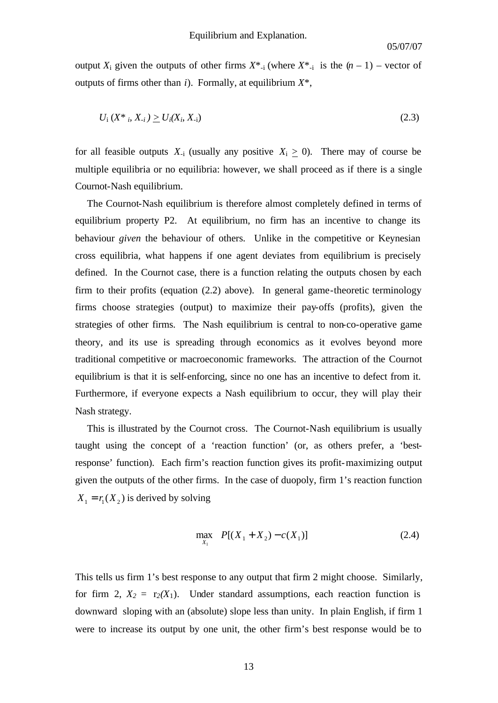output  $X_i$  given the outputs of other firms  $X^*_{-i}$  (where  $X^*_{-i}$  is the  $(n-1)$  – vector of outputs of firms other than *i*). Formally, at equilibrium *X*\*,

$$
U_{i}(X^* \, \text{, } X_{\cdot i}) \ge U_{i}(X_{i}, X_{\cdot i}) \tag{2.3}
$$

for all feasible outputs  $X_{-i}$  (usually any positive  $X_i \geq 0$ ). There may of course be multiple equilibria or no equilibria: however, we shall proceed as if there is a single Cournot-Nash equilibrium.

The Cournot-Nash equilibrium is therefore almost completely defined in terms of equilibrium property P2. At equilibrium, no firm has an incentive to change its behaviour *given* the behaviour of others. Unlike in the competitive or Keynesian cross equilibria, what happens if one agent deviates from equilibrium is precisely defined. In the Cournot case, there is a function relating the outputs chosen by each firm to their profits (equation (2.2) above). In general game-theoretic terminology firms choose strategies (output) to maximize their pay-offs (profits), given the strategies of other firms. The Nash equilibrium is central to non-co-operative game theory, and its use is spreading through economics as it evolves beyond more traditional competitive or macroeconomic frameworks. The attraction of the Cournot equilibrium is that it is self-enforcing, since no one has an incentive to defect from it. Furthermore, if everyone expects a Nash equilibrium to occur, they will play their Nash strategy.

This is illustrated by the Cournot cross. The Cournot-Nash equilibrium is usually taught using the concept of a 'reaction function' (or, as others prefer, a 'bestresponse' function). Each firm's reaction function gives its profit-maximizing output given the outputs of the other firms. In the case of duopoly, firm 1's reaction function  $X_1 = r_1(X_2)$  is derived by solving

$$
\max_{X_1} P[(X_1 + X_2) - c(X_1)] \tag{2.4}
$$

This tells us firm 1's best response to any output that firm 2 might choose. Similarly, for firm 2,  $X_2 = r_2(X_1)$ . Under standard assumptions, each reaction function is downward sloping with an (absolute) slope less than unity. In plain English, if firm 1 were to increase its output by one unit, the other firm's best response would be to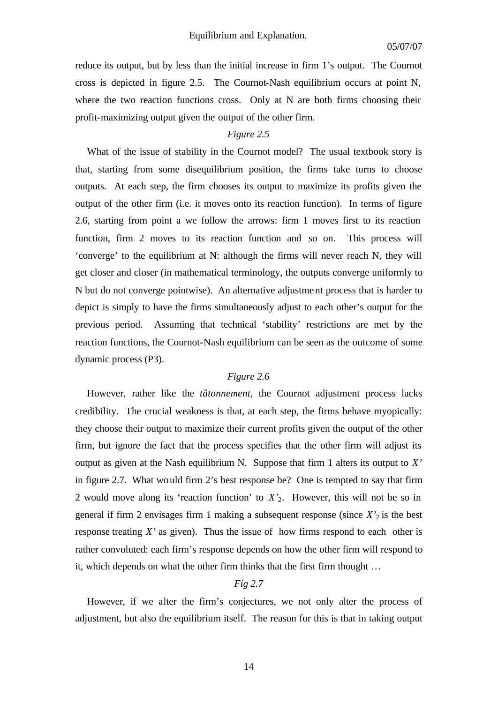reduce its output, but by less than the initial increase in firm 1's output. The Cournot cross is depicted in figure 2.5. The Cournot-Nash equilibrium occurs at point N, where the two reaction functions cross. Only at N are both firms choosing their profit-maximizing output given the output of the other firm.

## *Figure 2.5*

What of the issue of stability in the Cournot model? The usual textbook story is that, starting from some disequilibrium position, the firms take turns to choose outputs. At each step, the firm chooses its output to maximize its profits given the output of the other firm (i.e. it moves onto its reaction function). In terms of figure 2.6, starting from point a we follow the arrows: firm 1 moves first to its reaction function, firm 2 moves to its reaction function and so on. This process will 'converge' to the equilibrium at N: although the firms will never reach N, they will get closer and closer (in mathematical terminology, the outputs converge uniformly to N but do not converge pointwise). An alternative adjustment process that is harder to depict is simply to have the firms simultaneously adjust to each other's output for the previous period. Assuming that technical 'stability' restrictions are met by the reaction functions, the Cournot-Nash equilibrium can be seen as the outcome of some dynamic process (P3).

#### *Figure 2.6*

However, rather like the *tâtonnement,* the Cournot adjustment process lacks credibility. The crucial weakness is that, at each step, the firms behave myopically: they choose their output to maximize their current profits given the output of the other firm, but ignore the fact that the process specifies that the other firm will adjust its output as given at the Nash equilibrium N. Suppose that firm 1 alters its output to *X'* in figure 2.7. What would firm 2's best response be? One is tempted to say that firm 2 would move along its 'reaction function' to *X'*2. However, this will not be so in general if firm 2 envisages firm 1 making a subsequent response (since  $X'_2$  is the best response treating *X'* as given). Thus the issue of how firms respond to each other is rather convoluted: each firm's response depends on how the other firm will respond to it, which depends on what the other firm thinks that the first firm thought …

# *Fig 2.7*

However, if we alter the firm's conjectures, we not only alter the process of adjustment, but also the equilibrium itself. The reason for this is that in taking output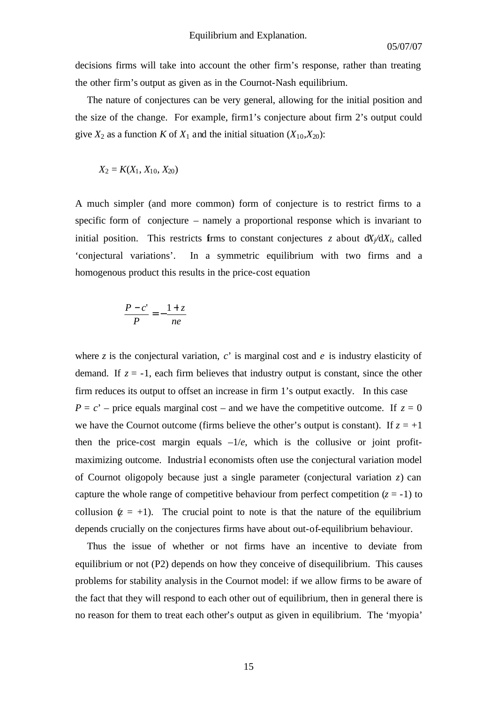decisions firms will take into account the other firm's response, rather than treating the other firm's output as given as in the Cournot-Nash equilibrium.

The nature of conjectures can be very general, allowing for the initial position and the size of the change. For example, firm1's conjecture about firm 2's output could give  $X_2$  as a function  $K$  of  $X_1$  and the initial situation  $(X_{10}, X_{20})$ :

 $X_2 = K(X_1, X_{10}, X_{20})$ 

A much simpler (and more common) form of conjecture is to restrict firms to a specific form of conjecture – namely a proportional response which is invariant to initial position. This restricts firms to constant conjectures  $\zeta$  about  $dX_i/dX_i$ , called 'conjectural variations'. In a symmetric equilibrium with two firms and a homogenous product this results in the price-cost equation

$$
\frac{P-c'}{P} = -\frac{1+z}{ne}
$$

where *z* is the conjectural variation, *c*' is marginal cost and *e* is industry elasticity of demand. If  $z = -1$ , each firm believes that industry output is constant, since the other firm reduces its output to offset an increase in firm 1's output exactly. In this case  $P = c'$  – price equals marginal cost – and we have the competitive outcome. If  $z = 0$ we have the Cournot outcome (firms believe the other's output is constant). If  $z = +1$ then the price-cost margin equals  $-1/e$ , which is the collusive or joint profitmaximizing outcome. Industrial economists often use the conjectural variation model of Cournot oligopoly because just a single parameter (conjectural variation *z*) can capture the whole range of competitive behaviour from perfect competition  $(z = -1)$  to collusion  $(z = +1)$ . The crucial point to note is that the nature of the equilibrium depends crucially on the conjectures firms have about out-of-equilibrium behaviour.

Thus the issue of whether or not firms have an incentive to deviate from equilibrium or not (P2) depends on how they conceive of disequilibrium. This causes problems for stability analysis in the Cournot model: if we allow firms to be aware of the fact that they will respond to each other out of equilibrium, then in general there is no reason for them to treat each other's output as given in equilibrium. The 'myopia'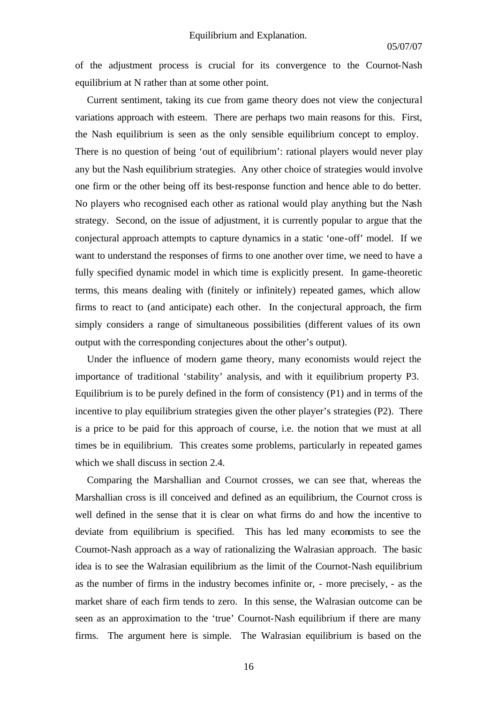of the adjustment process is crucial for its convergence to the Cournot-Nash equilibrium at N rather than at some other point.

Current sentiment, taking its cue from game theory does not view the conjectural variations approach with esteem. There are perhaps two main reasons for this. First, the Nash equilibrium is seen as the only sensible equilibrium concept to employ. There is no question of being 'out of equilibrium': rational players would never play any but the Nash equilibrium strategies. Any other choice of strategies would involve one firm or the other being off its best-response function and hence able to do better. No players who recognised each other as rational would play anything but the Nash strategy. Second, on the issue of adjustment, it is currently popular to argue that the conjectural approach attempts to capture dynamics in a static 'one-off' model. If we want to understand the responses of firms to one another over time, we need to have a fully specified dynamic model in which time is explicitly present. In game-theoretic terms, this means dealing with (finitely or infinitely) repeated games, which allow firms to react to (and anticipate) each other. In the conjectural approach, the firm simply considers a range of simultaneous possibilities (different values of its own output with the corresponding conjectures about the other's output).

Under the influence of modern game theory, many economists would reject the importance of traditional 'stability' analysis, and with it equilibrium property P3. Equilibrium is to be purely defined in the form of consistency (P1) and in terms of the incentive to play equilibrium strategies given the other player's strategies (P2). There is a price to be paid for this approach of course, i.e. the notion that we must at all times be in equilibrium. This creates some problems, particularly in repeated games which we shall discuss in section 2.4.

Comparing the Marshallian and Cournot crosses, we can see that, whereas the Marshallian cross is ill conceived and defined as an equilibrium, the Cournot cross is well defined in the sense that it is clear on what firms do and how the incentive to deviate from equilibrium is specified. This has led many economists to see the Cournot-Nash approach as a way of rationalizing the Walrasian approach. The basic idea is to see the Walrasian equilibrium as the limit of the Cournot-Nash equilibrium as the number of firms in the industry becomes infinite or, - more precisely, - as the market share of each firm tends to zero. In this sense, the Walrasian outcome can be seen as an approximation to the 'true' Cournot-Nash equilibrium if there are many firms. The argument here is simple. The Walrasian equilibrium is based on the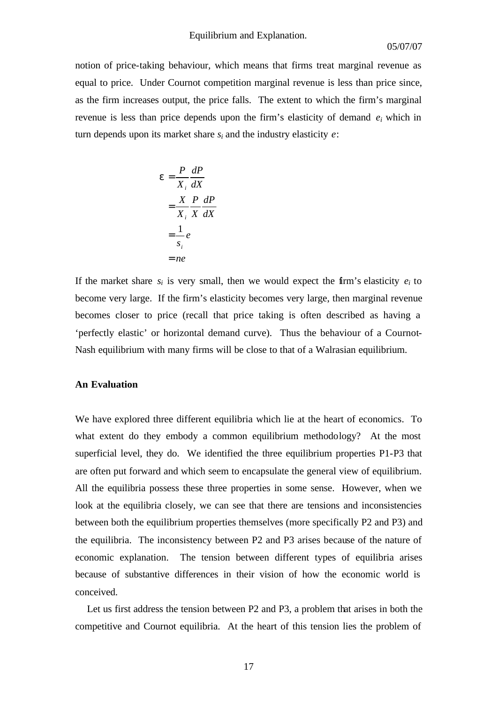notion of price-taking behaviour, which means that firms treat marginal revenue as equal to price. Under Cournot competition marginal revenue is less than price since, as the firm increases output, the price falls. The extent to which the firm's marginal revenue is less than price depends upon the firm's elasticity of demand *ei* which in turn depends upon its market share  $s_i$  and the industry elasticity  $e$ :

$$
e = \frac{P}{X_i} \frac{dP}{dX}
$$

$$
= \frac{X}{X_i} \frac{P}{X} \frac{dP}{dX}
$$

$$
= \frac{1}{S_i} e
$$

$$
= ne
$$

If the market share  $s_i$  is very small, then we would expect the firm's elasticity  $e_i$  to become very large. If the firm's elasticity becomes very large, then marginal revenue becomes closer to price (recall that price taking is often described as having a 'perfectly elastic' or horizontal demand curve). Thus the behaviour of a Cournot-Nash equilibrium with many firms will be close to that of a Walrasian equilibrium.

#### **An Evaluation**

We have explored three different equilibria which lie at the heart of economics. To what extent do they embody a common equilibrium methodology? At the most superficial level, they do. We identified the three equilibrium properties P1-P3 that are often put forward and which seem to encapsulate the general view of equilibrium. All the equilibria possess these three properties in some sense. However, when we look at the equilibria closely, we can see that there are tensions and inconsistencies between both the equilibrium properties themselves (more specifically P2 and P3) and the equilibria. The inconsistency between P2 and P3 arises because of the nature of economic explanation. The tension between different types of equilibria arises because of substantive differences in their vision of how the economic world is conceived.

Let us first address the tension between P2 and P3, a problem that arises in both the competitive and Cournot equilibria. At the heart of this tension lies the problem of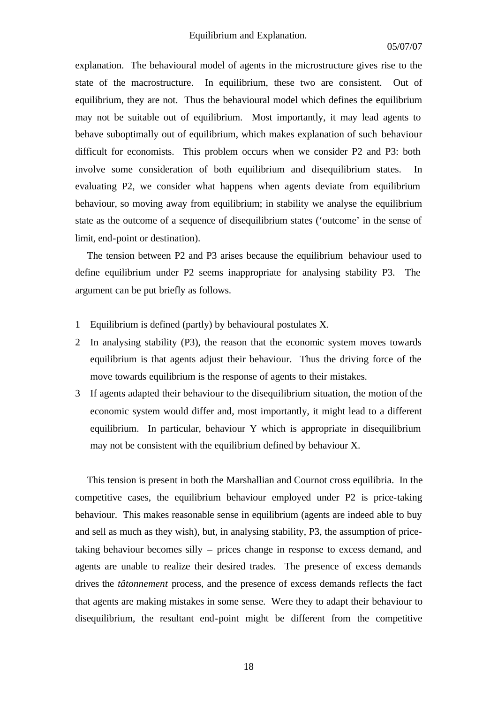explanation. The behavioural model of agents in the microstructure gives rise to the state of the macrostructure. In equilibrium, these two are consistent. Out of equilibrium, they are not. Thus the behavioural model which defines the equilibrium may not be suitable out of equilibrium. Most importantly, it may lead agents to behave suboptimally out of equilibrium, which makes explanation of such behaviour difficult for economists. This problem occurs when we consider P2 and P3: both involve some consideration of both equilibrium and disequilibrium states. In evaluating P2, we consider what happens when agents deviate from equilibrium behaviour, so moving away from equilibrium; in stability we analyse the equilibrium state as the outcome of a sequence of disequilibrium states ('outcome' in the sense of limit, end-point or destination).

The tension between P2 and P3 arises because the equilibrium behaviour used to define equilibrium under P2 seems inappropriate for analysing stability P3. The argument can be put briefly as follows.

- 1 Equilibrium is defined (partly) by behavioural postulates X.
- 2 In analysing stability (P3), the reason that the economic system moves towards equilibrium is that agents adjust their behaviour. Thus the driving force of the move towards equilibrium is the response of agents to their mistakes.
- 3 If agents adapted their behaviour to the disequilibrium situation, the motion of the economic system would differ and, most importantly, it might lead to a different equilibrium. In particular, behaviour Y which is appropriate in disequilibrium may not be consistent with the equilibrium defined by behaviour X.

This tension is present in both the Marshallian and Cournot cross equilibria. In the competitive cases, the equilibrium behaviour employed under P2 is price-taking behaviour. This makes reasonable sense in equilibrium (agents are indeed able to buy and sell as much as they wish), but, in analysing stability, P3, the assumption of pricetaking behaviour becomes silly – prices change in response to excess demand, and agents are unable to realize their desired trades. The presence of excess demands drives the *tâtonnement* process, and the presence of excess demands reflects the fact that agents are making mistakes in some sense. Were they to adapt their behaviour to disequilibrium, the resultant end-point might be different from the competitive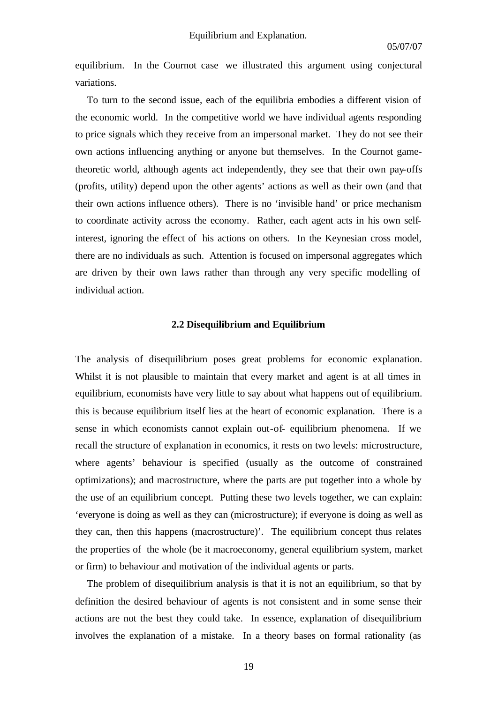equilibrium. In the Cournot case we illustrated this argument using conjectural variations.

To turn to the second issue, each of the equilibria embodies a different vision of the economic world. In the competitive world we have individual agents responding to price signals which they receive from an impersonal market. They do not see their own actions influencing anything or anyone but themselves. In the Cournot gametheoretic world, although agents act independently, they see that their own pay-offs (profits, utility) depend upon the other agents' actions as well as their own (and that their own actions influence others). There is no 'invisible hand' or price mechanism to coordinate activity across the economy. Rather, each agent acts in his own selfinterest, ignoring the effect of his actions on others. In the Keynesian cross model, there are no individuals as such. Attention is focused on impersonal aggregates which are driven by their own laws rather than through any very specific modelling of individual action.

#### **2.2 Disequilibrium and Equilibrium**

The analysis of disequilibrium poses great problems for economic explanation. Whilst it is not plausible to maintain that every market and agent is at all times in equilibrium, economists have very little to say about what happens out of equilibrium. this is because equilibrium itself lies at the heart of economic explanation. There is a sense in which economists cannot explain out-of- equilibrium phenomena. If we recall the structure of explanation in economics, it rests on two levels: microstructure, where agents' behaviour is specified (usually as the outcome of constrained optimizations); and macrostructure, where the parts are put together into a whole by the use of an equilibrium concept. Putting these two levels together, we can explain: 'everyone is doing as well as they can (microstructure); if everyone is doing as well as they can, then this happens (macrostructure)'. The equilibrium concept thus relates the properties of the whole (be it macroeconomy, general equilibrium system, market or firm) to behaviour and motivation of the individual agents or parts.

The problem of disequilibrium analysis is that it is not an equilibrium, so that by definition the desired behaviour of agents is not consistent and in some sense their actions are not the best they could take. In essence, explanation of disequilibrium involves the explanation of a mistake. In a theory bases on formal rationality (as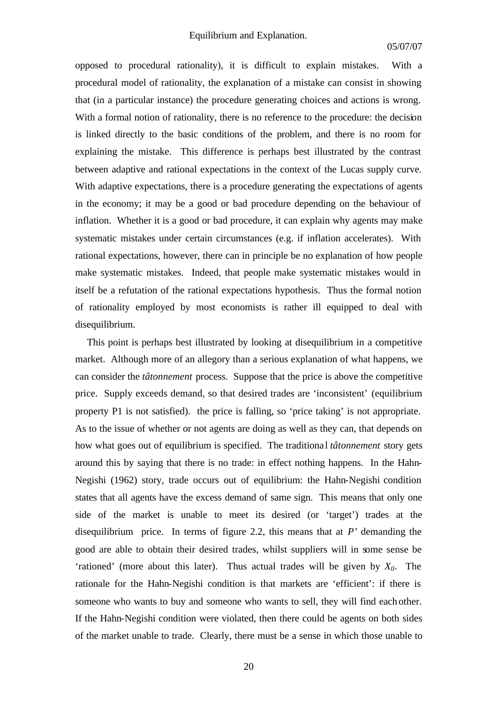#### Equilibrium and Explanation.

opposed to procedural rationality), it is difficult to explain mistakes. With a procedural model of rationality, the explanation of a mistake can consist in showing that (in a particular instance) the procedure generating choices and actions is wrong. With a formal notion of rationality, there is no reference to the procedure: the decision is linked directly to the basic conditions of the problem, and there is no room for explaining the mistake. This difference is perhaps best illustrated by the contrast between adaptive and rational expectations in the context of the Lucas supply curve. With adaptive expectations, there is a procedure generating the expectations of agents in the economy; it may be a good or bad procedure depending on the behaviour of inflation. Whether it is a good or bad procedure, it can explain why agents may make systematic mistakes under certain circumstances (e.g. if inflation accelerates). With rational expectations, however, there can in principle be no explanation of how people make systematic mistakes. Indeed, that people make systematic mistakes would in itself be a refutation of the rational expectations hypothesis. Thus the formal notion of rationality employed by most economists is rather ill equipped to deal with disequilibrium.

This point is perhaps best illustrated by looking at disequilibrium in a competitive market. Although more of an allegory than a serious explanation of what happens, we can consider the *tâtonnement* process. Suppose that the price is above the competitive price. Supply exceeds demand, so that desired trades are 'inconsistent' (equilibrium property P1 is not satisfied). the price is falling, so 'price taking' is not appropriate. As to the issue of whether or not agents are doing as well as they can, that depends on how what goes out of equilibrium is specified. The traditiona l *tâtonnement* story gets around this by saying that there is no trade: in effect nothing happens. In the Hahn-Negishi (1962) story, trade occurs out of equilibrium: the Hahn-Negishi condition states that all agents have the excess demand of same sign. This means that only one side of the market is unable to meet its desired (or 'target') trades at the disequilibrium price. In terms of figure 2.2, this means that at *P'* demanding the good are able to obtain their desired trades, whilst suppliers will in some sense be 'rationed' (more about this later). Thus actual trades will be given by *X0*. The rationale for the Hahn-Negishi condition is that markets are 'efficient': if there is someone who wants to buy and someone who wants to sell, they will find each other. If the Hahn-Negishi condition were violated, then there could be agents on both sides of the market unable to trade. Clearly, there must be a sense in which those unable to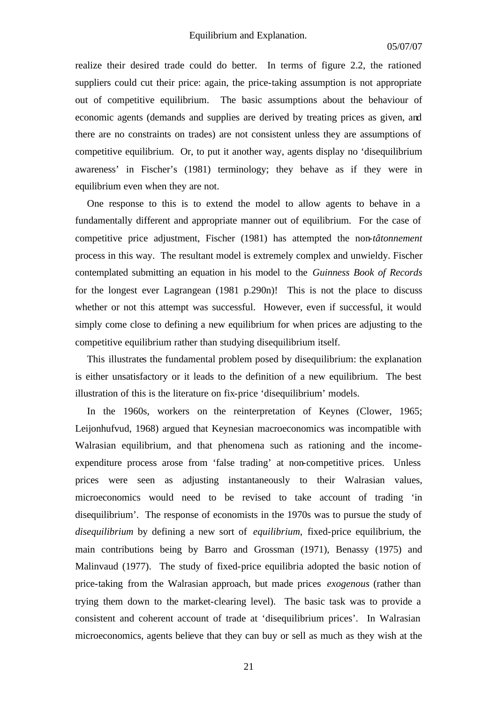realize their desired trade could do better. In terms of figure 2.2, the rationed suppliers could cut their price: again, the price-taking assumption is not appropriate out of competitive equilibrium. The basic assumptions about the behaviour of economic agents (demands and supplies are derived by treating prices as given, and there are no constraints on trades) are not consistent unless they are assumptions of competitive equilibrium. Or, to put it another way, agents display no 'disequilibrium awareness' in Fischer's (1981) terminology; they behave as if they were in equilibrium even when they are not.

One response to this is to extend the model to allow agents to behave in a fundamentally different and appropriate manner out of equilibrium. For the case of competitive price adjustment, Fischer (1981) has attempted the non-*tâtonnement* process in this way. The resultant model is extremely complex and unwieldy. Fischer contemplated submitting an equation in his model to the *Guinness Book of Records* for the longest ever Lagrangean (1981 p.290n)! This is not the place to discuss whether or not this attempt was successful. However, even if successful, it would simply come close to defining a new equilibrium for when prices are adjusting to the competitive equilibrium rather than studying disequilibrium itself.

This illustrates the fundamental problem posed by disequilibrium: the explanation is either unsatisfactory or it leads to the definition of a new equilibrium. The best illustration of this is the literature on fix-price 'disequilibrium' models.

In the 1960s, workers on the reinterpretation of Keynes (Clower, 1965; Leijonhufvud, 1968) argued that Keynesian macroeconomics was incompatible with Walrasian equilibrium, and that phenomena such as rationing and the incomeexpenditure process arose from 'false trading' at non-competitive prices. Unless prices were seen as adjusting instantaneously to their Walrasian values, microeconomics would need to be revised to take account of trading 'in disequilibrium'. The response of economists in the 1970s was to pursue the study of *disequilibrium* by defining a new sort of *equilibrium*, fixed-price equilibrium, the main contributions being by Barro and Grossman (1971), Benassy (1975) and Malinvaud (1977). The study of fixed-price equilibria adopted the basic notion of price-taking from the Walrasian approach, but made prices *exogenous* (rather than trying them down to the market-clearing level). The basic task was to provide a consistent and coherent account of trade at 'disequilibrium prices'. In Walrasian microeconomics, agents believe that they can buy or sell as much as they wish at the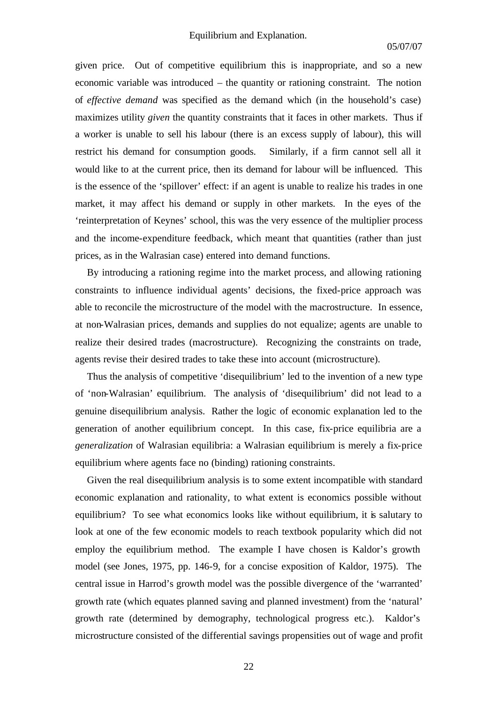given price. Out of competitive equilibrium this is inappropriate, and so a new economic variable was introduced – the quantity or rationing constraint. The notion of *effective demand* was specified as the demand which (in the household's case) maximizes utility *given* the quantity constraints that it faces in other markets. Thus if a worker is unable to sell his labour (there is an excess supply of labour), this will restrict his demand for consumption goods. Similarly, if a firm cannot sell all it would like to at the current price, then its demand for labour will be influenced. This is the essence of the 'spillover' effect: if an agent is unable to realize his trades in one market, it may affect his demand or supply in other markets. In the eyes of the 'reinterpretation of Keynes' school, this was the very essence of the multiplier process and the income-expenditure feedback, which meant that quantities (rather than just prices, as in the Walrasian case) entered into demand functions.

By introducing a rationing regime into the market process, and allowing rationing constraints to influence individual agents' decisions, the fixed-price approach was able to reconcile the microstructure of the model with the macrostructure. In essence, at non-Walrasian prices, demands and supplies do not equalize; agents are unable to realize their desired trades (macrostructure). Recognizing the constraints on trade, agents revise their desired trades to take these into account (microstructure).

Thus the analysis of competitive 'disequilibrium' led to the invention of a new type of 'non-Walrasian' equilibrium. The analysis of 'disequilibrium' did not lead to a genuine disequilibrium analysis. Rather the logic of economic explanation led to the generation of another equilibrium concept. In this case, fix-price equilibria are a *generalization* of Walrasian equilibria: a Walrasian equilibrium is merely a fix-price equilibrium where agents face no (binding) rationing constraints.

Given the real disequilibrium analysis is to some extent incompatible with standard economic explanation and rationality, to what extent is economics possible without equilibrium? To see what economics looks like without equilibrium, it is salutary to look at one of the few economic models to reach textbook popularity which did not employ the equilibrium method. The example I have chosen is Kaldor's growth model (see Jones, 1975, pp. 146-9, for a concise exposition of Kaldor, 1975). The central issue in Harrod's growth model was the possible divergence of the 'warranted' growth rate (which equates planned saving and planned investment) from the 'natural' growth rate (determined by demography, technological progress etc.). Kaldor's microstructure consisted of the differential savings propensities out of wage and profit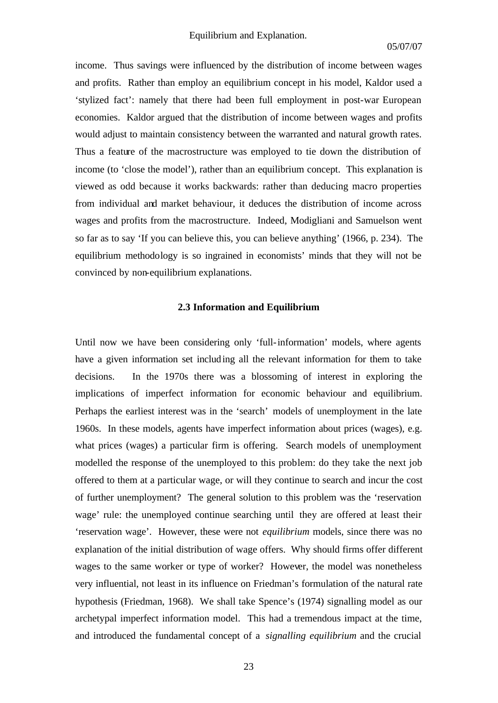income. Thus savings were influenced by the distribution of income between wages and profits. Rather than employ an equilibrium concept in his model, Kaldor used a 'stylized fact': namely that there had been full employment in post-war European economies. Kaldor argued that the distribution of income between wages and profits would adjust to maintain consistency between the warranted and natural growth rates. Thus a feature of the macrostructure was employed to tie down the distribution of income (to 'close the model'), rather than an equilibrium concept. This explanation is viewed as odd because it works backwards: rather than deducing macro properties from individual and market behaviour, it deduces the distribution of income across wages and profits from the macrostructure. Indeed, Modigliani and Samuelson went so far as to say 'If you can believe this, you can believe anything' (1966, p. 234). The equilibrium methodology is so ingrained in economists' minds that they will not be convinced by non-equilibrium explanations.

#### **2.3 Information and Equilibrium**

Until now we have been considering only 'full-information' models, where agents have a given information set including all the relevant information for them to take decisions. In the 1970s there was a blossoming of interest in exploring the implications of imperfect information for economic behaviour and equilibrium. Perhaps the earliest interest was in the 'search' models of unemployment in the late 1960s. In these models, agents have imperfect information about prices (wages), e.g. what prices (wages) a particular firm is offering. Search models of unemployment modelled the response of the unemployed to this problem: do they take the next job offered to them at a particular wage, or will they continue to search and incur the cost of further unemployment? The general solution to this problem was the 'reservation wage' rule: the unemployed continue searching until they are offered at least their 'reservation wage'. However, these were not *equilibrium* models, since there was no explanation of the initial distribution of wage offers. Why should firms offer different wages to the same worker or type of worker? However, the model was nonetheless very influential, not least in its influence on Friedman's formulation of the natural rate hypothesis (Friedman, 1968). We shall take Spence's (1974) signalling model as our archetypal imperfect information model. This had a tremendous impact at the time, and introduced the fundamental concept of a *signalling equilibrium* and the crucial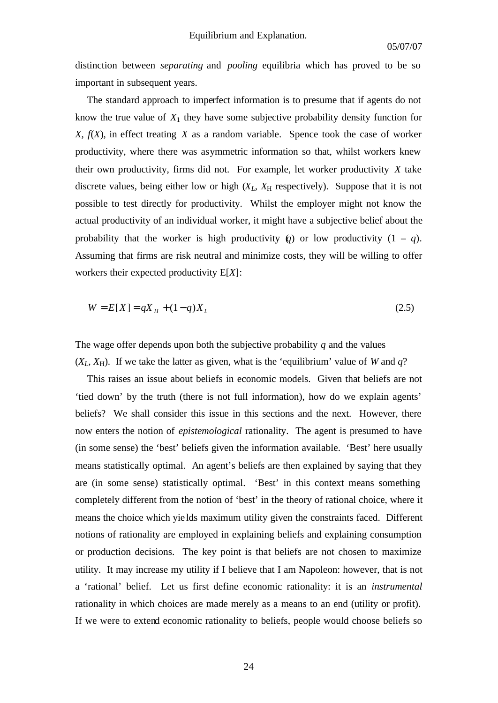distinction between *separating* and *pooling* equilibria which has proved to be so important in subsequent years.

The standard approach to imperfect information is to presume that if agents do not know the true value of  $X_1$  they have some subjective probability density function for *X*, *f*(*X*), in effect treating *X* as a random variable. Spence took the case of worker productivity, where there was asymmetric information so that, whilst workers knew their own productivity, firms did not. For example, let worker productivity *X* take discrete values, being either low or high  $(X_L, X_H$  respectively). Suppose that it is not possible to test directly for productivity. Whilst the employer might not know the actual productivity of an individual worker, it might have a subjective belief about the probability that the worker is high productivity  $q$ ) or low productivity  $(1 - q)$ . Assuming that firms are risk neutral and minimize costs, they will be willing to offer workers their expected productivity E[*X*]:

$$
W = E[X] = qX_{H} + (1 - q)X_{L}
$$
\n(2.5)

The wage offer depends upon both the subjective probability *q* and the values  $(X_L, X_H)$ . If we take the latter as given, what is the 'equilibrium' value of *W* and *q*?

This raises an issue about beliefs in economic models. Given that beliefs are not 'tied down' by the truth (there is not full information), how do we explain agents' beliefs? We shall consider this issue in this sections and the next. However, there now enters the notion of *epistemological* rationality. The agent is presumed to have (in some sense) the 'best' beliefs given the information available. 'Best' here usually means statistically optimal. An agent's beliefs are then explained by saying that they are (in some sense) statistically optimal. 'Best' in this context means something completely different from the notion of 'best' in the theory of rational choice, where it means the choice which yie lds maximum utility given the constraints faced. Different notions of rationality are employed in explaining beliefs and explaining consumption or production decisions. The key point is that beliefs are not chosen to maximize utility. It may increase my utility if I believe that I am Napoleon: however, that is not a 'rational' belief. Let us first define economic rationality: it is an *instrumental* rationality in which choices are made merely as a means to an end (utility or profit). If we were to extend economic rationality to beliefs, people would choose beliefs so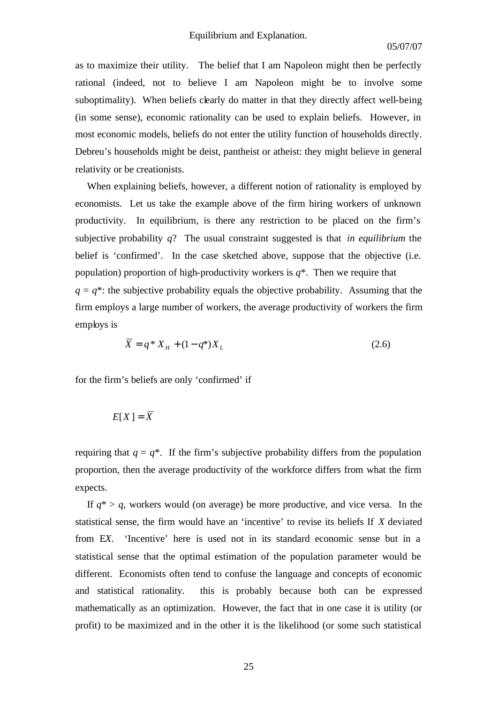as to maximize their utility. The belief that I am Napoleon might then be perfectly rational (indeed, not to believe I am Napoleon might be to involve some suboptimality). When beliefs clearly do matter in that they directly affect well-being (in some sense), economic rationality can be used to explain beliefs. However, in most economic models, beliefs do not enter the utility function of households directly. Debreu's households might be deist, pantheist or atheist: they might believe in general relativity or be creationists.

When explaining beliefs, however, a different notion of rationality is employed by economists. Let us take the example above of the firm hiring workers of unknown productivity. In equilibrium, is there any restriction to be placed on the firm's subjective probability *q*? The usual constraint suggested is that *in equilibrium* the belief is 'confirmed'. In the case sketched above, suppose that the objective (i.e. population) proportion of high-productivity workers is *q*\*. Then we require that  $q = q^*$ : the subjective probability equals the objective probability. Assuming that the firm employs a large number of workers, the average productivity of workers the firm employs is

$$
\overline{X} = q^* X_H + (1 - q^*) X_L \tag{2.6}
$$

for the firm's beliefs are only 'confirmed' if

$$
E[X] = \overline{X}
$$

requiring that  $q = q^*$ . If the firm's subjective probability differs from the population proportion, then the average productivity of the workforce differs from what the firm expects.

If  $q^*$  >  $q$ , workers would (on average) be more productive, and vice versa. In the statistical sense, the firm would have an 'incentive' to revise its beliefs If *X* deviated from E*X*. 'Incentive' here is used not in its standard economic sense but in a statistical sense that the optimal estimation of the population parameter would be different. Economists often tend to confuse the language and concepts of economic and statistical rationality. this is probably because both can be expressed mathematically as an optimization. However, the fact that in one case it is utility (or profit) to be maximized and in the other it is the likelihood (or some such statistical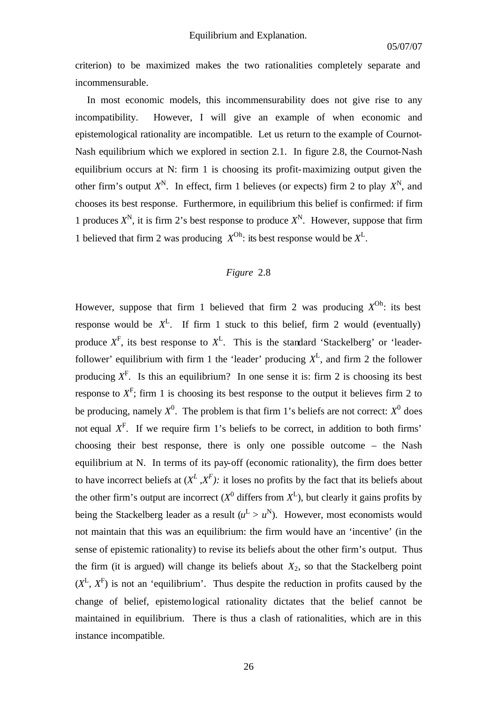criterion) to be maximized makes the two rationalities completely separate and incommensurable.

In most economic models, this incommensurability does not give rise to any incompatibility. However, I will give an example of when economic and epistemological rationality are incompatible. Let us return to the example of Cournot-Nash equilibrium which we explored in section 2.1. In figure 2.8, the Cournot-Nash equilibrium occurs at N: firm 1 is choosing its profit-maximizing output given the other firm's output  $X^N$ . In effect, firm 1 believes (or expects) firm 2 to play  $X^N$ , and chooses its best response. Furthermore, in equilibrium this belief is confirmed: if firm 1 produces  $X^N$ , it is firm 2's best response to produce  $X^N$ . However, suppose that firm 1 believed that firm 2 was producing  $X^{Oh}$ : its best response would be  $X^L$ .

# *Figure* 2.8

However, suppose that firm 1 believed that firm 2 was producing  $X^{Oh}$ : its best response would be  $X^L$ . If firm 1 stuck to this belief, firm 2 would (eventually) produce  $X^F$ , its best response to  $X^L$ . This is the standard 'Stackelberg' or 'leaderfollower' equilibrium with firm 1 the 'leader' producing  $X<sup>L</sup>$ , and firm 2 the follower producing  $X^F$ . Is this an equilibrium? In one sense it is: firm 2 is choosing its best response to  $X^F$ ; firm 1 is choosing its best response to the output it believes firm 2 to be producing, namely  $X^0$ . The problem is that firm 1's beliefs are not correct:  $X^0$  does not equal  $X^F$ . If we require firm 1's beliefs to be correct, in addition to both firms' choosing their best response, there is only one possible outcome – the Nash equilibrium at N. In terms of its pay-off (economic rationality), the firm does better to have incorrect beliefs at  $(X^L, X^F)$ : it loses no profits by the fact that its beliefs about the other firm's output are incorrect  $(X^0$  differs from  $X^L$ ), but clearly it gains profits by being the Stackelberg leader as a result  $(u^L > u^N)$ . However, most economists would not maintain that this was an equilibrium: the firm would have an 'incentive' (in the sense of epistemic rationality) to revise its beliefs about the other firm's output. Thus the firm (it is argued) will change its beliefs about  $X_2$ , so that the Stackelberg point  $(X^L, X^F)$  is not an 'equilibrium'. Thus despite the reduction in profits caused by the change of belief, epistemological rationality dictates that the belief cannot be maintained in equilibrium. There is thus a clash of rationalities, which are in this instance incompatible.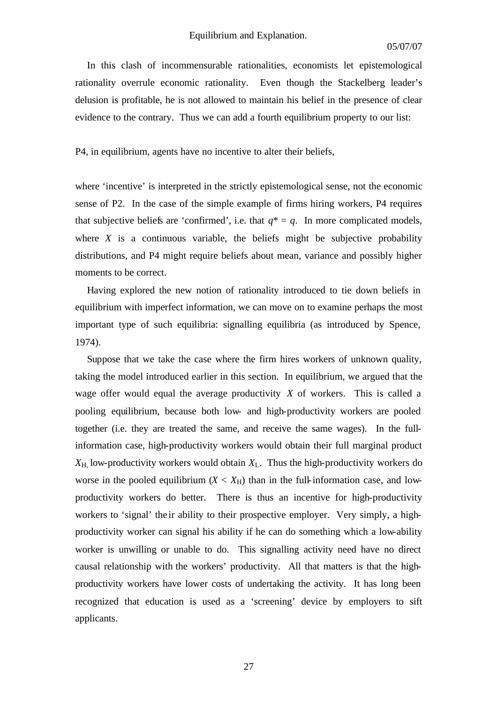In this clash of incommensurable rationalities, economists let epistemological rationality overrule economic rationality. Even though the Stackelberg leader's delusion is profitable, he is not allowed to maintain his belief in the presence of clear evidence to the contrary. Thus we can add a fourth equilibrium property to our list:

P4, in equilibrium, agents have no incentive to alter their beliefs,

where 'incentive' is interpreted in the strictly epistemological sense, not the economic sense of P2. In the case of the simple example of firms hiring workers, P4 requires that subjective beliefs are 'confirmed', i.e. that  $q^* = q$ . In more complicated models, where  $X$  is a continuous variable, the beliefs might be subjective probability distributions, and P4 might require beliefs about mean, variance and possibly higher moments to be correct.

Having explored the new notion of rationality introduced to tie down beliefs in equilibrium with imperfect information, we can move on to examine perhaps the most important type of such equilibria: signalling equilibria (as introduced by Spence, 1974).

Suppose that we take the case where the firm hires workers of unknown quality, taking the model introduced earlier in this section. In equilibrium, we argued that the wage offer would equal the average productivity *X* of workers. This is called a pooling equilibrium, because both low- and high-productivity workers are pooled together (i.e. they are treated the same, and receive the same wages). In the fullinformation case, high-productivity workers would obtain their full marginal product  $X_{\text{H}}$  low-productivity workers would obtain  $X_{\text{L}}$ . Thus the high-productivity workers do worse in the pooled equilibrium  $(X < X_H)$  than in the full-information case, and lowproductivity workers do better. There is thus an incentive for high-productivity workers to 'signal' their ability to their prospective employer. Very simply, a highproductivity worker can signal his ability if he can do something which a low-ability worker is unwilling or unable to do. This signalling activity need have no direct causal relationship with the workers' productivity. All that matters is that the highproductivity workers have lower costs of undertaking the activity. It has long been recognized that education is used as a 'screening' device by employers to sift applicants.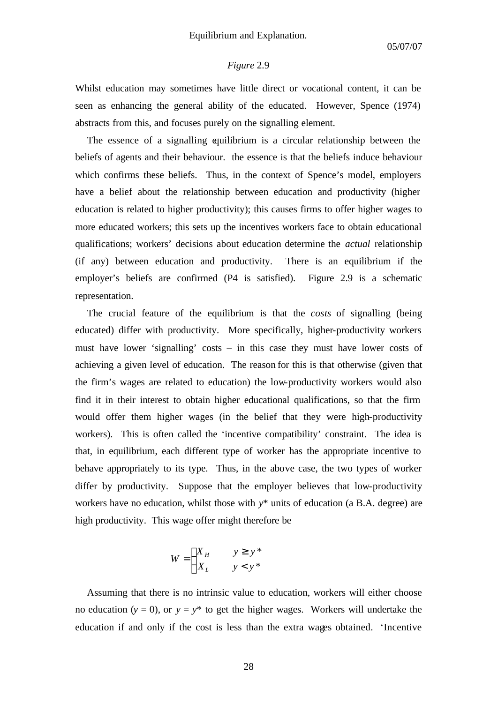# *Figure* 2.9

Whilst education may sometimes have little direct or vocational content, it can be seen as enhancing the general ability of the educated. However, Spence (1974) abstracts from this, and focuses purely on the signalling element.

The essence of a signalling equilibrium is a circular relationship between the beliefs of agents and their behaviour. the essence is that the beliefs induce behaviour which confirms these beliefs. Thus, in the context of Spence's model, employers have a belief about the relationship between education and productivity (higher education is related to higher productivity); this causes firms to offer higher wages to more educated workers; this sets up the incentives workers face to obtain educational qualifications; workers' decisions about education determine the *actual* relationship (if any) between education and productivity. There is an equilibrium if the employer's beliefs are confirmed (P4 is satisfied). Figure 2.9 is a schematic representation.

The crucial feature of the equilibrium is that the *costs* of signalling (being educated) differ with productivity. More specifically, higher-productivity workers must have lower 'signalling' costs – in this case they must have lower costs of achieving a given level of education. The reason for this is that otherwise (given that the firm's wages are related to education) the low-productivity workers would also find it in their interest to obtain higher educational qualifications, so that the firm would offer them higher wages (in the belief that they were high-productivity workers). This is often called the 'incentive compatibility' constraint. The idea is that, in equilibrium, each different type of worker has the appropriate incentive to behave appropriately to its type. Thus, in the above case, the two types of worker differ by productivity. Suppose that the employer believes that low-productivity workers have no education, whilst those with *y*\* units of education (a B.A. degree) are high productivity. This wage offer might therefore be

$$
W = \begin{cases} X_H & y \ge y^* \\ X_L & y < y^* \end{cases}
$$

Assuming that there is no intrinsic value to education, workers will either choose no education ( $y = 0$ ), or  $y = y^*$  to get the higher wages. Workers will undertake the education if and only if the cost is less than the extra wages obtained. 'Incentive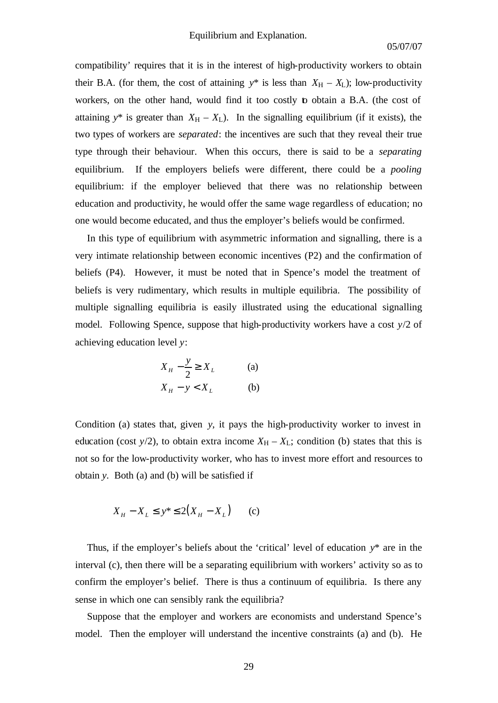compatibility' requires that it is in the interest of high-productivity workers to obtain their B.A. (for them, the cost of attaining  $y^*$  is less than  $X_H - X_L$ ); low-productivity workers, on the other hand, would find it too costly to obtain a B.A. (the cost of attaining  $y^*$  is greater than  $X_H - X_L$ ). In the signalling equilibrium (if it exists), the two types of workers are *separated*: the incentives are such that they reveal their true type through their behaviour. When this occurs, there is said to be a *separating* equilibrium. If the employers beliefs were different, there could be a *pooling* equilibrium: if the employer believed that there was no relationship between education and productivity, he would offer the same wage regardless of education; no one would become educated, and thus the employer's beliefs would be confirmed.

In this type of equilibrium with asymmetric information and signalling, there is a very intimate relationship between economic incentives (P2) and the confirmation of beliefs (P4). However, it must be noted that in Spence's model the treatment of beliefs is very rudimentary, which results in multiple equilibria. The possibility of multiple signalling equilibria is easily illustrated using the educational signalling model. Following Spence, suppose that high-productivity workers have a cost *y*/2 of achieving education level *y*:

$$
X_H - \frac{y}{2} \ge X_L
$$
 (a)  

$$
X_H - y < X_L
$$
 (b)

Condition (a) states that, given *y*, it pays the high-productivity worker to invest in education (cost  $y/2$ ), to obtain extra income  $X_H - X_L$ ; condition (b) states that this is not so for the low-productivity worker, who has to invest more effort and resources to obtain *y*. Both (a) and (b) will be satisfied if

$$
X_H - X_L \le y^* \le 2(X_H - X_L)
$$
 (c)

Thus, if the employer's beliefs about the 'critical' level of education *y*\* are in the interval (c), then there will be a separating equilibrium with workers' activity so as to confirm the employer's belief. There is thus a continuum of equilibria. Is there any sense in which one can sensibly rank the equilibria?

Suppose that the employer and workers are economists and understand Spence's model. Then the employer will understand the incentive constraints (a) and (b). He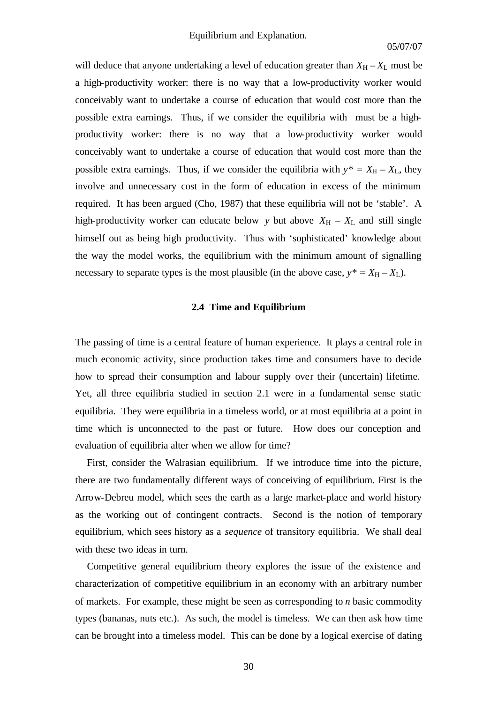will deduce that anyone undertaking a level of education greater than  $X_H - X_L$  must be a high-productivity worker: there is no way that a low-productivity worker would conceivably want to undertake a course of education that would cost more than the possible extra earnings. Thus, if we consider the equilibria with must be a highproductivity worker: there is no way that a low-productivity worker would conceivably want to undertake a course of education that would cost more than the possible extra earnings. Thus, if we consider the equilibria with  $y^* = X_H - X_L$ , they involve and unnecessary cost in the form of education in excess of the minimum required. It has been argued (Cho, 1987) that these equilibria will not be 'stable'. A high-productivity worker can educate below *y* but above  $X_H - X_L$  and still single himself out as being high productivity. Thus with 'sophisticated' knowledge about the way the model works, the equilibrium with the minimum amount of signalling necessary to separate types is the most plausible (in the above case,  $y^* = X_H - X_L$ ).

## **2.4 Time and Equilibrium**

The passing of time is a central feature of human experience. It plays a central role in much economic activity, since production takes time and consumers have to decide how to spread their consumption and labour supply over their (uncertain) lifetime. Yet, all three equilibria studied in section 2.1 were in a fundamental sense static equilibria. They were equilibria in a timeless world, or at most equilibria at a point in time which is unconnected to the past or future. How does our conception and evaluation of equilibria alter when we allow for time?

First, consider the Walrasian equilibrium. If we introduce time into the picture, there are two fundamentally different ways of conceiving of equilibrium. First is the Arrow-Debreu model, which sees the earth as a large market-place and world history as the working out of contingent contracts. Second is the notion of temporary equilibrium, which sees history as a *sequence* of transitory equilibria. We shall deal with these two ideas in turn.

Competitive general equilibrium theory explores the issue of the existence and characterization of competitive equilibrium in an economy with an arbitrary number of markets. For example, these might be seen as corresponding to *n* basic commodity types (bananas, nuts etc.). As such, the model is timeless. We can then ask how time can be brought into a timeless model. This can be done by a logical exercise of dating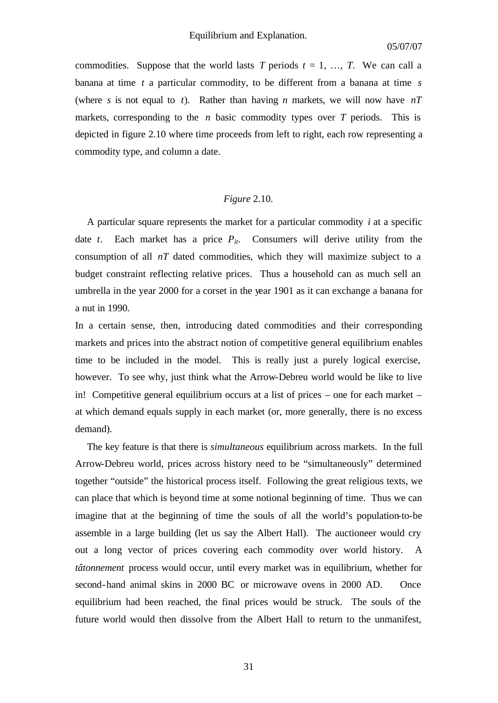commodities. Suppose that the world lasts *T* periods  $t = 1, \ldots, T$ . We can call a banana at time *t* a particular commodity, to be different from a banana at time *s* (where *s* is not equal to *t*). Rather than having *n* markets, we will now have *nT* markets, corresponding to the *n* basic commodity types over *T* periods. This is depicted in figure 2.10 where time proceeds from left to right, each row representing a commodity type, and column a date.

# *Figure* 2.10.

A particular square represents the market for a particular commodity *i* at a specific date *t*. Each market has a price  $P_{it}$ . Consumers will derive utility from the consumption of all *nT* dated commodities, which they will maximize subject to a budget constraint reflecting relative prices. Thus a household can as much sell an umbrella in the year 2000 for a corset in the year 1901 as it can exchange a banana for a nut in 1990.

In a certain sense, then, introducing dated commodities and their corresponding markets and prices into the abstract notion of competitive general equilibrium enables time to be included in the model. This is really just a purely logical exercise, however. To see why, just think what the Arrow-Debreu world would be like to live in! Competitive general equilibrium occurs at a list of prices – one for each market – at which demand equals supply in each market (or, more generally, there is no excess demand).

The key feature is that there is *simultaneous* equilibrium across markets. In the full Arrow-Debreu world, prices across history need to be "simultaneously" determined together "outside" the historical process itself. Following the great religious texts, we can place that which is beyond time at some notional beginning of time. Thus we can imagine that at the beginning of time the souls of all the world's population-to-be assemble in a large building (let us say the Albert Hall). The auctioneer would cry out a long vector of prices covering each commodity over world history. A *tâtonnement* process would occur, until every market was in equilibrium, whether for second-hand animal skins in 2000 BC or microwave ovens in 2000 AD. Once equilibrium had been reached, the final prices would be struck. The souls of the future world would then dissolve from the Albert Hall to return to the unmanifest,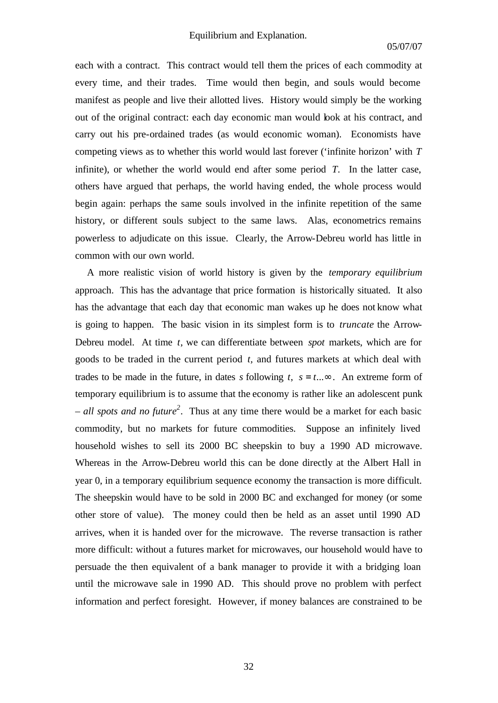each with a contract. This contract would tell them the prices of each commodity at every time, and their trades. Time would then begin, and souls would become manifest as people and live their allotted lives. History would simply be the working out of the original contract: each day economic man would look at his contract, and carry out his pre-ordained trades (as would economic woman). Economists have competing views as to whether this world would last forever ('infinite horizon' with *T* infinite), or whether the world would end after some period *T*. In the latter case, others have argued that perhaps, the world having ended, the whole process would begin again: perhaps the same souls involved in the infinite repetition of the same history, or different souls subject to the same laws. Alas, econometrics remains powerless to adjudicate on this issue. Clearly, the Arrow-Debreu world has little in common with our own world.

A more realistic vision of world history is given by the *temporary equilibrium* approach. This has the advantage that price formation is historically situated. It also has the advantage that each day that economic man wakes up he does not know what is going to happen. The basic vision in its simplest form is to *truncate* the Arrow-Debreu model. At time *t*, we can differentiate between *spot* markets, which are for goods to be traded in the current period *t,* and futures markets at which deal with trades to be made in the future, in dates *s* following *t*,  $s = t...\infty$ . An extreme form of temporary equilibrium is to assume that the economy is rather like an adolescent punk – *all spots and no future<sup>2</sup>* . Thus at any time there would be a market for each basic commodity, but no markets for future commodities. Suppose an infinitely lived household wishes to sell its 2000 BC sheepskin to buy a 1990 AD microwave. Whereas in the Arrow-Debreu world this can be done directly at the Albert Hall in year 0, in a temporary equilibrium sequence economy the transaction is more difficult. The sheepskin would have to be sold in 2000 BC and exchanged for money (or some other store of value). The money could then be held as an asset until 1990 AD arrives, when it is handed over for the microwave. The reverse transaction is rather more difficult: without a futures market for microwaves, our household would have to persuade the then equivalent of a bank manager to provide it with a bridging loan until the microwave sale in 1990 AD. This should prove no problem with perfect information and perfect foresight. However, if money balances are constrained to be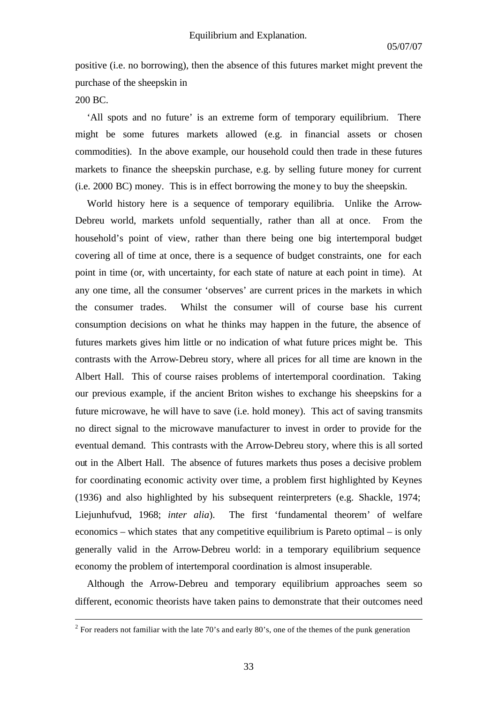positive (i.e. no borrowing), then the absence of this futures market might prevent the purchase of the sheepskin in

200 BC.

l

'All spots and no future' is an extreme form of temporary equilibrium. There might be some futures markets allowed (e.g. in financial assets or chosen commodities). In the above example, our household could then trade in these futures markets to finance the sheepskin purchase, e.g. by selling future money for current (i.e. 2000 BC) money. This is in effect borrowing the money to buy the sheepskin.

World history here is a sequence of temporary equilibria. Unlike the Arrow-Debreu world, markets unfold sequentially, rather than all at once. From the household's point of view, rather than there being one big intertemporal budget covering all of time at once, there is a sequence of budget constraints, one for each point in time (or, with uncertainty, for each state of nature at each point in time). At any one time, all the consumer 'observes' are current prices in the markets in which the consumer trades. Whilst the consumer will of course base his current consumption decisions on what he thinks may happen in the future, the absence of futures markets gives him little or no indication of what future prices might be. This contrasts with the Arrow-Debreu story, where all prices for all time are known in the Albert Hall. This of course raises problems of intertemporal coordination. Taking our previous example, if the ancient Briton wishes to exchange his sheepskins for a future microwave, he will have to save (i.e. hold money). This act of saving transmits no direct signal to the microwave manufacturer to invest in order to provide for the eventual demand. This contrasts with the Arrow-Debreu story, where this is all sorted out in the Albert Hall. The absence of futures markets thus poses a decisive problem for coordinating economic activity over time, a problem first highlighted by Keynes (1936) and also highlighted by his subsequent reinterpreters (e.g. Shackle, 1974; Liejunhufvud, 1968; *inter alia*). The first 'fundamental theorem' of welfare economics – which states that any competitive equilibrium is Pareto optimal – is only generally valid in the Arrow-Debreu world: in a temporary equilibrium sequence economy the problem of intertemporal coordination is almost insuperable.

Although the Arrow-Debreu and temporary equilibrium approaches seem so different, economic theorists have taken pains to demonstrate that their outcomes need

 $2^2$  For readers not familiar with the late 70's and early 80's, one of the themes of the punk generation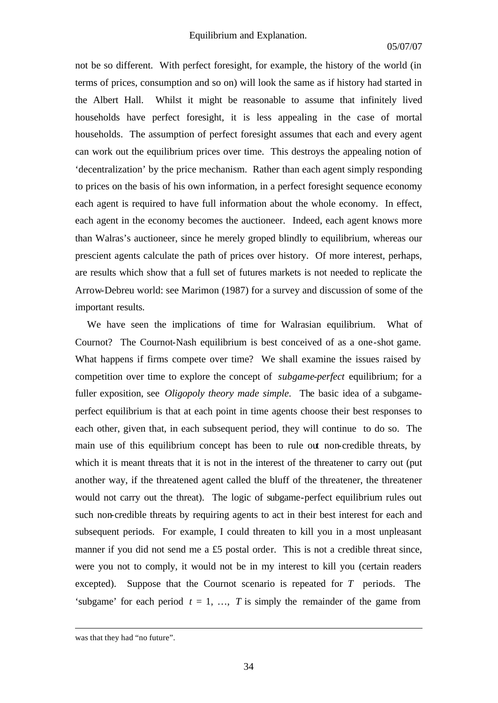not be so different. With perfect foresight, for example, the history of the world (in terms of prices, consumption and so on) will look the same as if history had started in the Albert Hall. Whilst it might be reasonable to assume that infinitely lived households have perfect foresight, it is less appealing in the case of mortal households. The assumption of perfect foresight assumes that each and every agent can work out the equilibrium prices over time. This destroys the appealing notion of 'decentralization' by the price mechanism. Rather than each agent simply responding to prices on the basis of his own information, in a perfect foresight sequence economy each agent is required to have full information about the whole economy. In effect, each agent in the economy becomes the auctioneer. Indeed, each agent knows more than Walras's auctioneer, since he merely groped blindly to equilibrium, whereas our prescient agents calculate the path of prices over history. Of more interest, perhaps, are results which show that a full set of futures markets is not needed to replicate the Arrow-Debreu world: see Marimon (1987) for a survey and discussion of some of the important results.

We have seen the implications of time for Walrasian equilibrium. What of Cournot? The Cournot-Nash equilibrium is best conceived of as a one-shot game. What happens if firms compete over time? We shall examine the issues raised by competition over time to explore the concept of *subgame-perfect* equilibrium; for a fuller exposition, see *Oligopoly theory made simple*. The basic idea of a subgameperfect equilibrium is that at each point in time agents choose their best responses to each other, given that, in each subsequent period, they will continue to do so. The main use of this equilibrium concept has been to rule out non-credible threats, by which it is meant threats that it is not in the interest of the threatener to carry out (put another way, if the threatened agent called the bluff of the threatener, the threatener would not carry out the threat). The logic of subgame-perfect equilibrium rules out such non-credible threats by requiring agents to act in their best interest for each and subsequent periods. For example, I could threaten to kill you in a most unpleasant manner if you did not send me a £5 postal order. This is not a credible threat since, were you not to comply, it would not be in my interest to kill you (certain readers excepted). Suppose that the Cournot scenario is repeated for *T* periods. The 'subgame' for each period  $t = 1, \ldots, T$  is simply the remainder of the game from

l

was that they had "no future".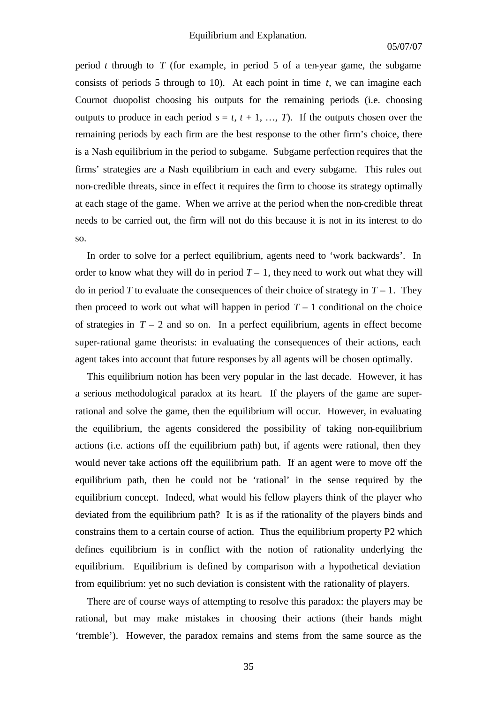period *t* through to *T* (for example, in period 5 of a ten-year game, the subgame consists of periods 5 through to 10). At each point in time *t*, we can imagine each Cournot duopolist choosing his outputs for the remaining periods (i.e. choosing outputs to produce in each period  $s = t, t + 1, ..., T$ . If the outputs chosen over the remaining periods by each firm are the best response to the other firm's choice, there is a Nash equilibrium in the period to subgame. Subgame perfection requires that the firms' strategies are a Nash equilibrium in each and every subgame. This rules out non-credible threats, since in effect it requires the firm to choose its strategy optimally at each stage of the game. When we arrive at the period when the non-credible threat needs to be carried out, the firm will not do this because it is not in its interest to do so.

In order to solve for a perfect equilibrium, agents need to 'work backwards'. In order to know what they will do in period  $T - 1$ , they need to work out what they will do in period *T* to evaluate the consequences of their choice of strategy in  $T - 1$ . They then proceed to work out what will happen in period  $T-1$  conditional on the choice of strategies in  $T - 2$  and so on. In a perfect equilibrium, agents in effect become super-rational game theorists: in evaluating the consequences of their actions, each agent takes into account that future responses by all agents will be chosen optimally.

This equilibrium notion has been very popular in the last decade. However, it has a serious methodological paradox at its heart. If the players of the game are superrational and solve the game, then the equilibrium will occur. However, in evaluating the equilibrium, the agents considered the possibility of taking non-equilibrium actions (i.e. actions off the equilibrium path) but, if agents were rational, then they would never take actions off the equilibrium path. If an agent were to move off the equilibrium path, then he could not be 'rational' in the sense required by the equilibrium concept. Indeed, what would his fellow players think of the player who deviated from the equilibrium path? It is as if the rationality of the players binds and constrains them to a certain course of action. Thus the equilibrium property P2 which defines equilibrium is in conflict with the notion of rationality underlying the equilibrium. Equilibrium is defined by comparison with a hypothetical deviation from equilibrium: yet no such deviation is consistent with the rationality of players.

There are of course ways of attempting to resolve this paradox: the players may be rational, but may make mistakes in choosing their actions (their hands might 'tremble'). However, the paradox remains and stems from the same source as the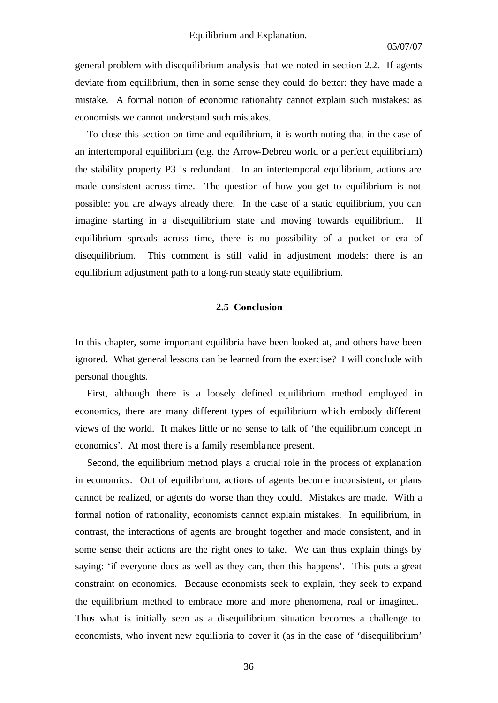general problem with disequilibrium analysis that we noted in section 2.2. If agents deviate from equilibrium, then in some sense they could do better: they have made a mistake. A formal notion of economic rationality cannot explain such mistakes: as economists we cannot understand such mistakes.

To close this section on time and equilibrium, it is worth noting that in the case of an intertemporal equilibrium (e.g. the Arrow-Debreu world or a perfect equilibrium) the stability property P3 is redundant. In an intertemporal equilibrium, actions are made consistent across time. The question of how you get to equilibrium is not possible: you are always already there. In the case of a static equilibrium, you can imagine starting in a disequilibrium state and moving towards equilibrium. If equilibrium spreads across time, there is no possibility of a pocket or era of disequilibrium. This comment is still valid in adjustment models: there is an equilibrium adjustment path to a long-run steady state equilibrium.

#### **2.5 Conclusion**

In this chapter, some important equilibria have been looked at, and others have been ignored. What general lessons can be learned from the exercise? I will conclude with personal thoughts.

First, although there is a loosely defined equilibrium method employed in economics, there are many different types of equilibrium which embody different views of the world. It makes little or no sense to talk of 'the equilibrium concept in economics'. At most there is a family resemblance present.

Second, the equilibrium method plays a crucial role in the process of explanation in economics. Out of equilibrium, actions of agents become inconsistent, or plans cannot be realized, or agents do worse than they could. Mistakes are made. With a formal notion of rationality, economists cannot explain mistakes. In equilibrium, in contrast, the interactions of agents are brought together and made consistent, and in some sense their actions are the right ones to take. We can thus explain things by saying: 'if everyone does as well as they can, then this happens'. This puts a great constraint on economics. Because economists seek to explain, they seek to expand the equilibrium method to embrace more and more phenomena, real or imagined. Thus what is initially seen as a disequilibrium situation becomes a challenge to economists, who invent new equilibria to cover it (as in the case of 'disequilibrium'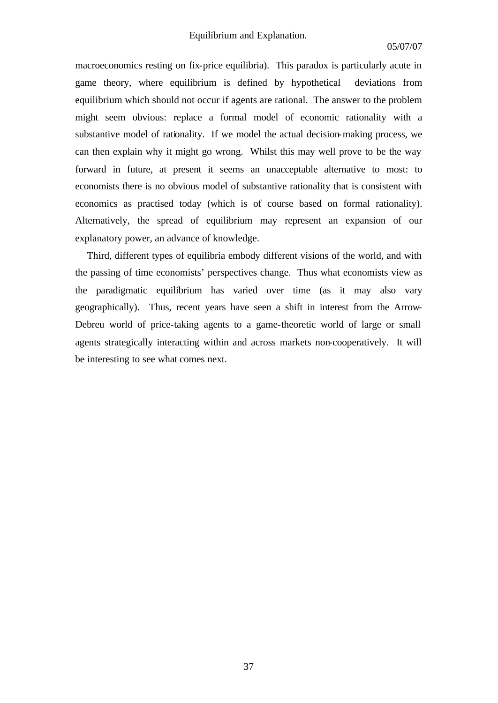macroeconomics resting on fix-price equilibria). This paradox is particularly acute in game theory, where equilibrium is defined by hypothetical deviations from equilibrium which should not occur if agents are rational. The answer to the problem might seem obvious: replace a formal model of economic rationality with a substantive model of rationality. If we model the actual decision-making process, we can then explain why it might go wrong. Whilst this may well prove to be the way forward in future, at present it seems an unacceptable alternative to most: to economists there is no obvious model of substantive rationality that is consistent with economics as practised today (which is of course based on formal rationality). Alternatively, the spread of equilibrium may represent an expansion of our explanatory power, an advance of knowledge.

Third, different types of equilibria embody different visions of the world, and with the passing of time economists' perspectives change. Thus what economists view as the paradigmatic equilibrium has varied over time (as it may also vary geographically). Thus, recent years have seen a shift in interest from the Arrow-Debreu world of price-taking agents to a game-theoretic world of large or small agents strategically interacting within and across markets non-cooperatively. It will be interesting to see what comes next.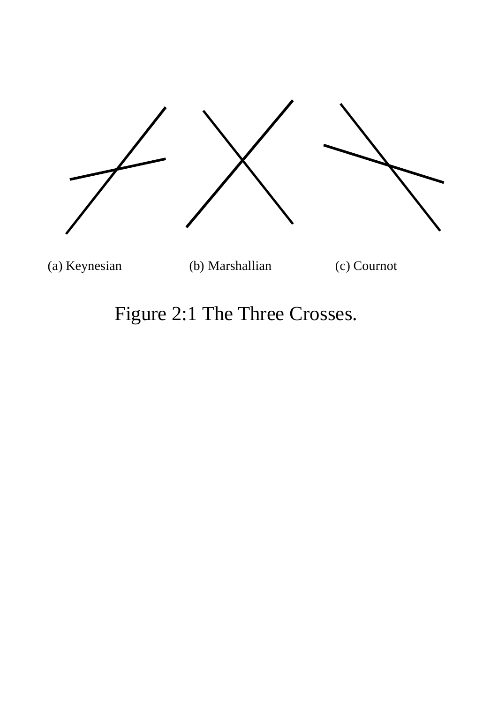

(a) Keynesian (b) Marshallian (c) Cournot

Figure 2:1 The Three Crosses.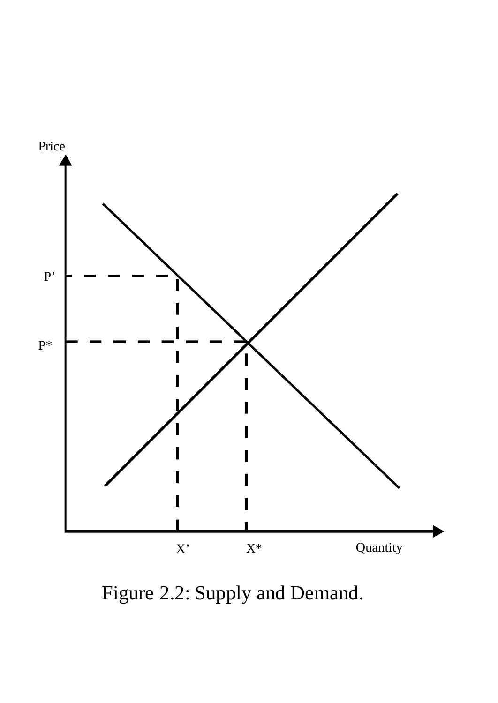

Figure 2.2: Supply and Demand.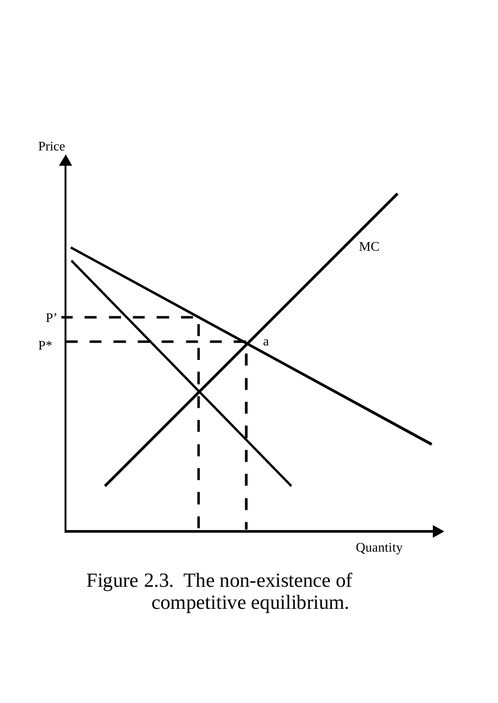

Figure 2.3. The non-existence of competitive equilibrium.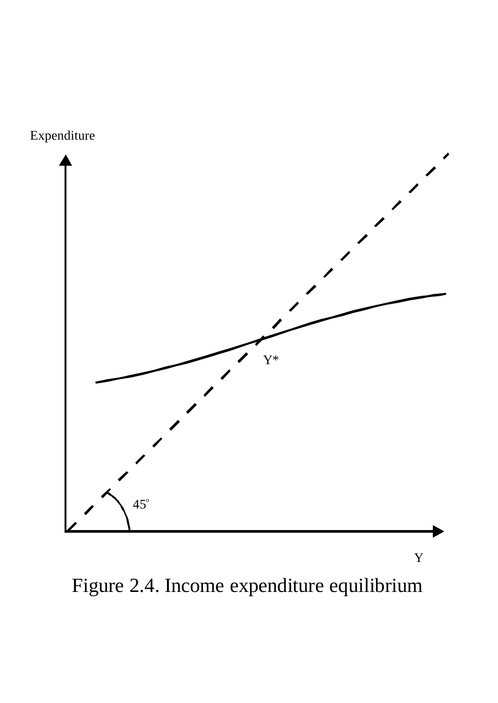



Figure 2.4. Income expenditure equilibrium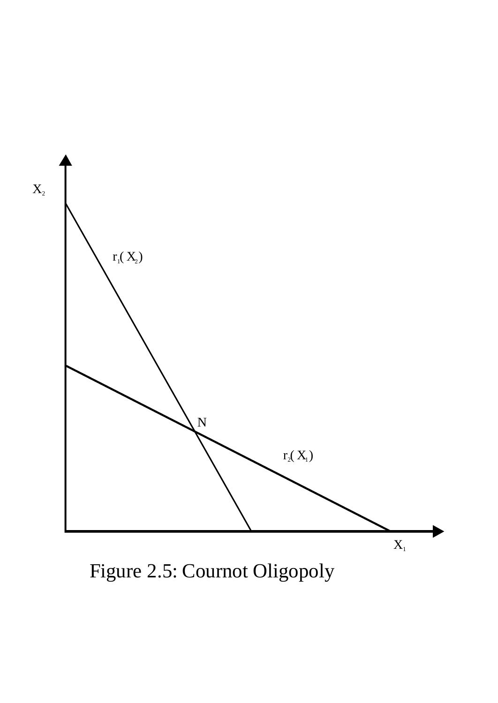

Figure 2.5: Cournot Oligopoly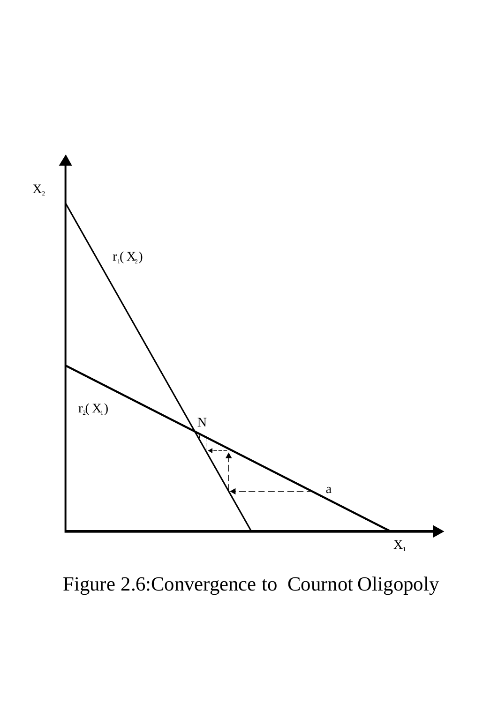

Figure 2.6:Convergence to Cournot Oligopoly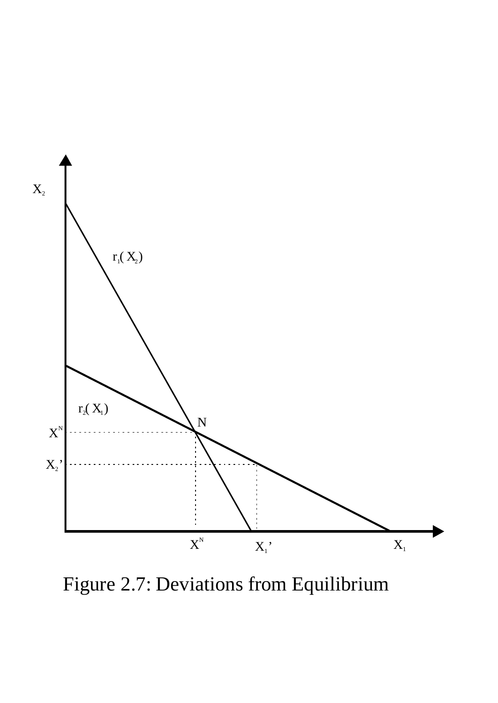

Figure 2.7: Deviations from Equilibrium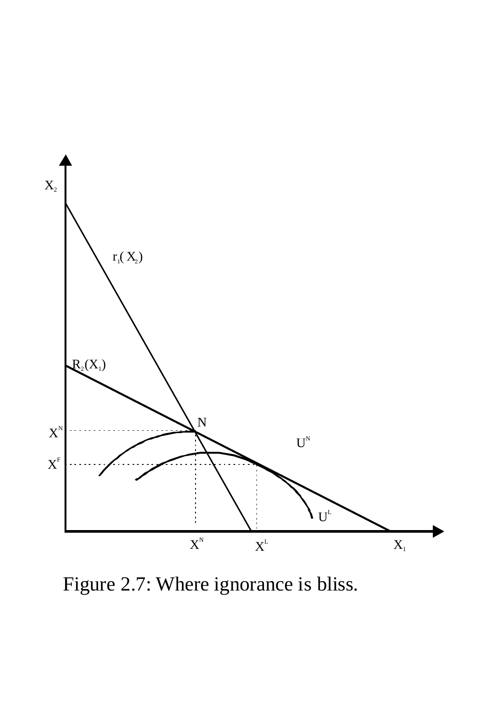

Figure 2.7: Where ignorance is bliss.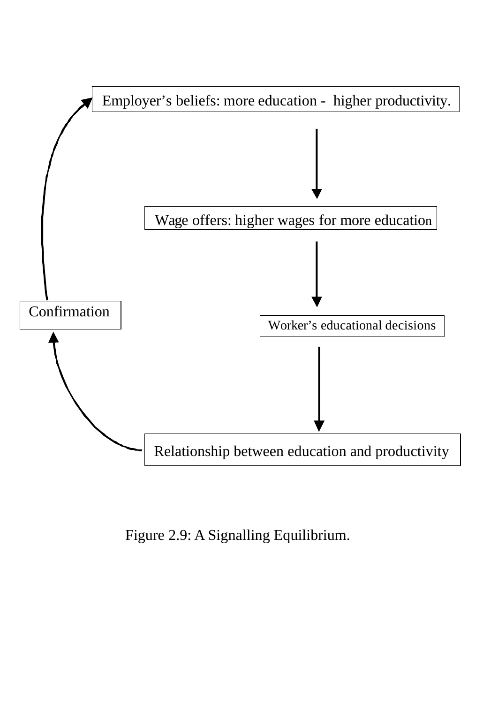

Figure 2.9: A Signalling Equilibrium.